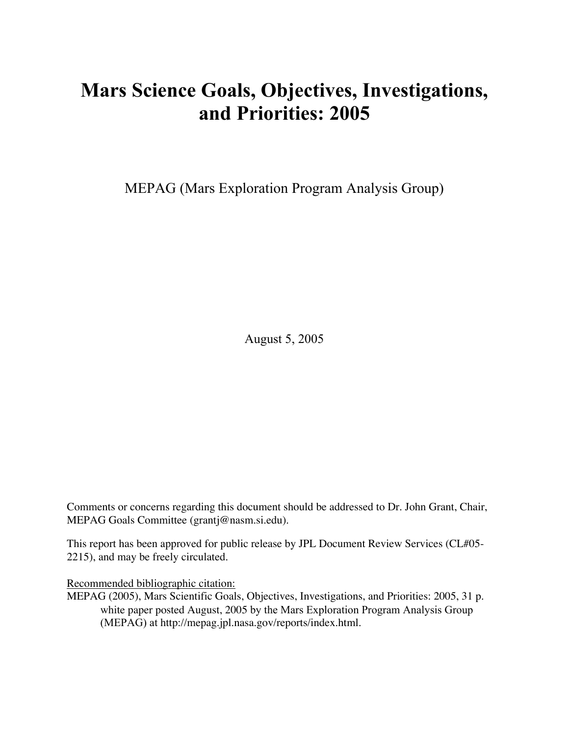# Mars Science Goals, Objectives, Investigations, and Priorities: 2005

MEPAG (Mars Exploration Program Analysis Group)

August 5, 2005

Comments or concerns regarding this document should be addressed to Dr. John Grant, Chair, MEPAG Goals Committee (grantj@nasm.si.edu).

This report has been approved for public release by JPL Document Review Services (CL#05- 2215), and may be freely circulated.

Recommended bibliographic citation:

MEPAG (2005), Mars Scientific Goals, Objectives, Investigations, and Priorities: 2005, 31 p. white paper posted August, 2005 by the Mars Exploration Program Analysis Group (MEPAG) at http://mepag.jpl.nasa.gov/reports/index.html.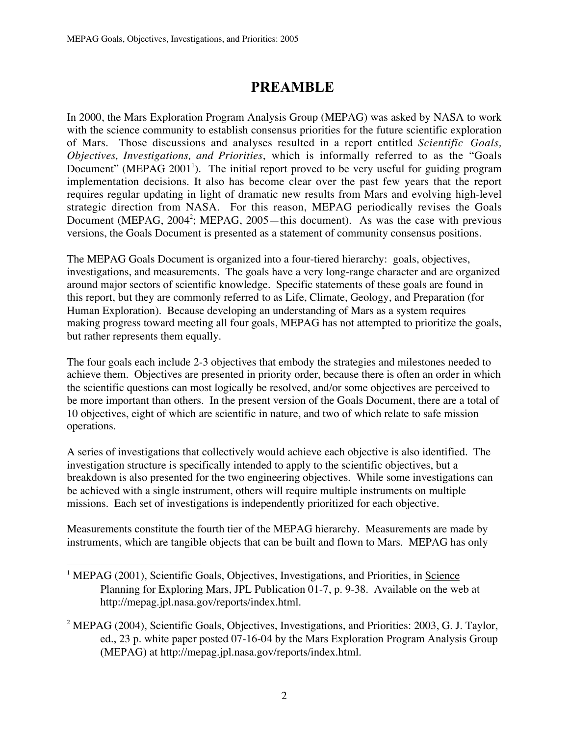# PREAMBLE

In 2000, the Mars Exploration Program Analysis Group (MEPAG) was asked by NASA to work with the science community to establish consensus priorities for the future scientific exploration of Mars. Those discussions and analyses resulted in a report entitled *Scientific Goals, Objectives, Investigations, and Priorities*, which is informally referred to as the "Goals Document" (MEPAG 2001<sup>1</sup>). The initial report proved to be very useful for guiding program implementation decisions. It also has become clear over the past few years that the report requires regular updating in light of dramatic new results from Mars and evolving high-level strategic direction from NASA. For this reason, MEPAG periodically revises the Goals Document (MEPAG, 2004<sup>2</sup>; MEPAG, 2005—this document). As was the case with previous versions, the Goals Document is presented as a statement of community consensus positions.

The MEPAG Goals Document is organized into a four-tiered hierarchy: goals, objectives, investigations, and measurements. The goals have a very long-range character and are organized around major sectors of scientific knowledge. Specific statements of these goals are found in this report, but they are commonly referred to as Life, Climate, Geology, and Preparation (for Human Exploration). Because developing an understanding of Mars as a system requires making progress toward meeting all four goals, MEPAG has not attempted to prioritize the goals, but rather represents them equally.

The four goals each include 2-3 objectives that embody the strategies and milestones needed to achieve them. Objectives are presented in priority order, because there is often an order in which the scientific questions can most logically be resolved, and/or some objectives are perceived to be more important than others. In the present version of the Goals Document, there are a total of 10 objectives, eight of which are scientific in nature, and two of which relate to safe mission operations.

A series of investigations that collectively would achieve each objective is also identified. The investigation structure is specifically intended to apply to the scientific objectives, but a breakdown is also presented for the two engineering objectives. While some investigations can be achieved with a single instrument, others will require multiple instruments on multiple missions. Each set of investigations is independently prioritized for each objective.

Measurements constitute the fourth tier of the MEPAG hierarchy. Measurements are made by instruments, which are tangible objects that can be built and flown to Mars. MEPAG has only

 $\frac{1}{1}$ <sup>1</sup> MEPAG (2001), Scientific Goals, Objectives, Investigations, and Priorities, in Science Planning for Exploring Mars, JPL Publication 01-7, p. 9-38. Available on the web at http://mepag.jpl.nasa.gov/reports/index.html.

<sup>&</sup>lt;sup>2</sup> MEPAG (2004), Scientific Goals, Objectives, Investigations, and Priorities: 2003, G. J. Taylor, ed., 23 p. white paper posted 07-16-04 by the Mars Exploration Program Analysis Group (MEPAG) at http://mepag.jpl.nasa.gov/reports/index.html.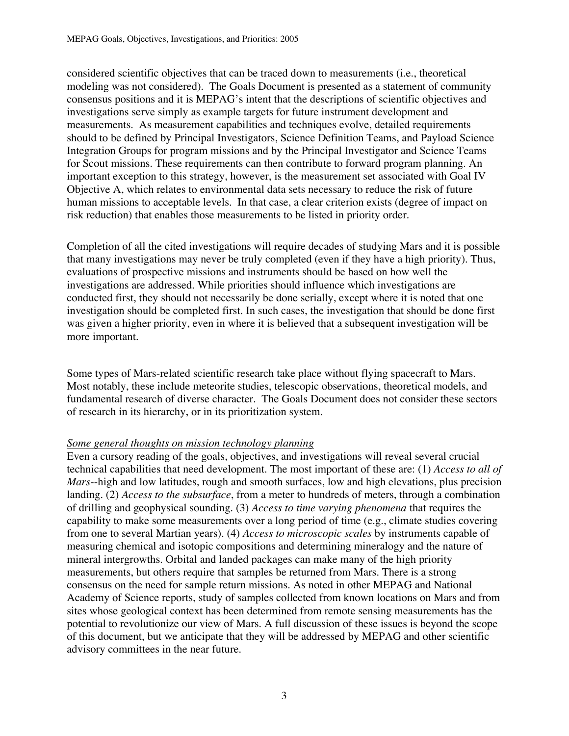considered scientific objectives that can be traced down to measurements (i.e., theoretical modeling was not considered). The Goals Document is presented as a statement of community consensus positions and it is MEPAG's intent that the descriptions of scientific objectives and investigations serve simply as example targets for future instrument development and measurements. As measurement capabilities and techniques evolve, detailed requirements should to be defined by Principal Investigators, Science Definition Teams, and Payload Science Integration Groups for program missions and by the Principal Investigator and Science Teams for Scout missions. These requirements can then contribute to forward program planning. An important exception to this strategy, however, is the measurement set associated with Goal IV Objective A, which relates to environmental data sets necessary to reduce the risk of future human missions to acceptable levels. In that case, a clear criterion exists (degree of impact on risk reduction) that enables those measurements to be listed in priority order.

Completion of all the cited investigations will require decades of studying Mars and it is possible that many investigations may never be truly completed (even if they have a high priority). Thus, evaluations of prospective missions and instruments should be based on how well the investigations are addressed. While priorities should influence which investigations are conducted first, they should not necessarily be done serially, except where it is noted that one investigation should be completed first. In such cases, the investigation that should be done first was given a higher priority, even in where it is believed that a subsequent investigation will be more important.

Some types of Mars-related scientific research take place without flying spacecraft to Mars. Most notably, these include meteorite studies, telescopic observations, theoretical models, and fundamental research of diverse character. The Goals Document does not consider these sectors of research in its hierarchy, or in its prioritization system.

#### *Some general thoughts on mission technology planning*

Even a cursory reading of the goals, objectives, and investigations will reveal several crucial technical capabilities that need development. The most important of these are: (1) *Access to all of Mars*--high and low latitudes, rough and smooth surfaces, low and high elevations, plus precision landing. (2) *Access to the subsurface*, from a meter to hundreds of meters, through a combination of drilling and geophysical sounding. (3) *Access to time varying phenomena* that requires the capability to make some measurements over a long period of time (e.g., climate studies covering from one to several Martian years). (4) *Access to microscopic scales* by instruments capable of measuring chemical and isotopic compositions and determining mineralogy and the nature of mineral intergrowths. Orbital and landed packages can make many of the high priority measurements, but others require that samples be returned from Mars. There is a strong consensus on the need for sample return missions. As noted in other MEPAG and National Academy of Science reports, study of samples collected from known locations on Mars and from sites whose geological context has been determined from remote sensing measurements has the potential to revolutionize our view of Mars. A full discussion of these issues is beyond the scope of this document, but we anticipate that they will be addressed by MEPAG and other scientific advisory committees in the near future.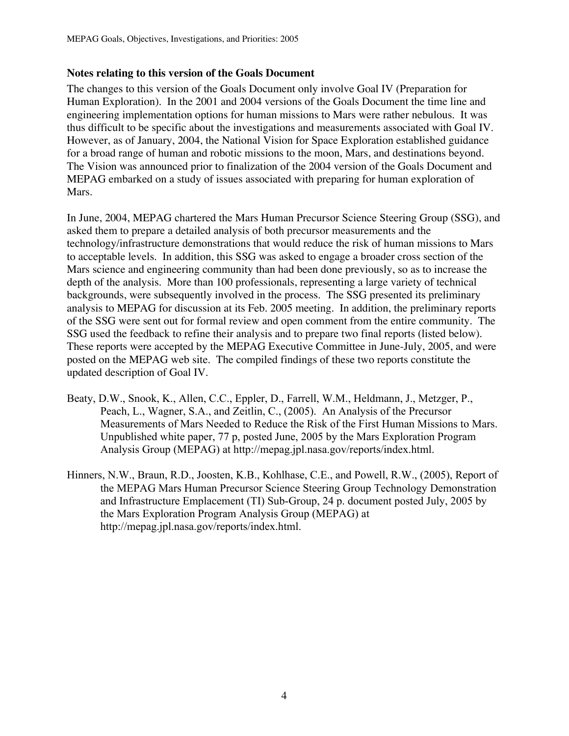#### **Notes relating to this version of the Goals Document**

The changes to this version of the Goals Document only involve Goal IV (Preparation for Human Exploration). In the 2001 and 2004 versions of the Goals Document the time line and engineering implementation options for human missions to Mars were rather nebulous. It was thus difficult to be specific about the investigations and measurements associated with Goal IV. However, as of January, 2004, the National Vision for Space Exploration established guidance for a broad range of human and robotic missions to the moon, Mars, and destinations beyond. The Vision was announced prior to finalization of the 2004 version of the Goals Document and MEPAG embarked on a study of issues associated with preparing for human exploration of Mars.

In June, 2004, MEPAG chartered the Mars Human Precursor Science Steering Group (SSG), and asked them to prepare a detailed analysis of both precursor measurements and the technology/infrastructure demonstrations that would reduce the risk of human missions to Mars to acceptable levels. In addition, this SSG was asked to engage a broader cross section of the Mars science and engineering community than had been done previously, so as to increase the depth of the analysis. More than 100 professionals, representing a large variety of technical backgrounds, were subsequently involved in the process. The SSG presented its preliminary analysis to MEPAG for discussion at its Feb. 2005 meeting. In addition, the preliminary reports of the SSG were sent out for formal review and open comment from the entire community. The SSG used the feedback to refine their analysis and to prepare two final reports (listed below). These reports were accepted by the MEPAG Executive Committee in June-July, 2005, and were posted on the MEPAG web site. The compiled findings of these two reports constitute the updated description of Goal IV.

- Beaty, D.W., Snook, K., Allen, C.C., Eppler, D., Farrell, W.M., Heldmann, J., Metzger, P., Peach, L., Wagner, S.A., and Zeitlin, C., (2005). An Analysis of the Precursor Measurements of Mars Needed to Reduce the Risk of the First Human Missions to Mars. Unpublished white paper, 77 p, posted June, 2005 by the Mars Exploration Program Analysis Group (MEPAG) at http://mepag.jpl.nasa.gov/reports/index.html.
- Hinners, N.W., Braun, R.D., Joosten, K.B., Kohlhase, C.E., and Powell, R.W., (2005), Report of the MEPAG Mars Human Precursor Science Steering Group Technology Demonstration and Infrastructure Emplacement (TI) Sub-Group, 24 p. document posted July, 2005 by the Mars Exploration Program Analysis Group (MEPAG) at http://mepag.jpl.nasa.gov/reports/index.html.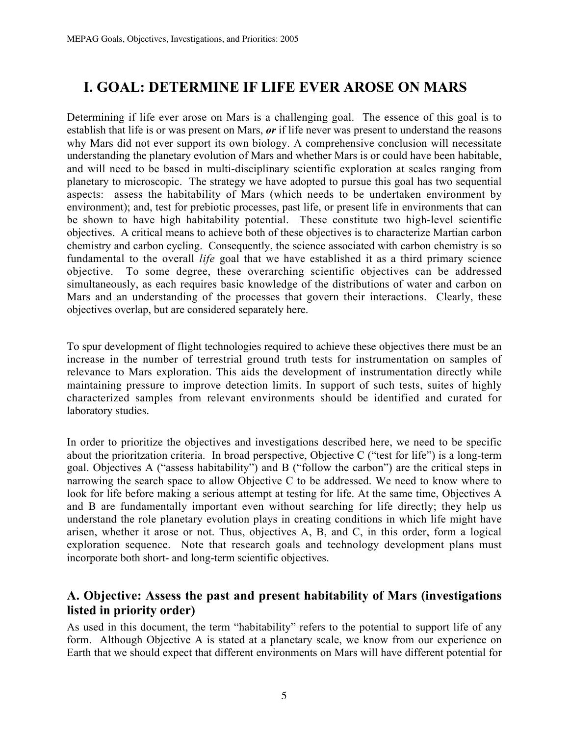# I. GOAL: DETERMINE IF LIFE EVER AROSE ON MARS

Determining if life ever arose on Mars is a challenging goal. The essence of this goal is to establish that life is or was present on Mars, *or* if life never was present to understand the reasons why Mars did not ever support its own biology. A comprehensive conclusion will necessitate understanding the planetary evolution of Mars and whether Mars is or could have been habitable, and will need to be based in multi-disciplinary scientific exploration at scales ranging from planetary to microscopic. The strategy we have adopted to pursue this goal has two sequential aspects: assess the habitability of Mars (which needs to be undertaken environment by environment); and, test for prebiotic processes, past life, or present life in environments that can be shown to have high habitability potential. These constitute two high-level scientific objectives. A critical means to achieve both of these objectives is to characterize Martian carbon chemistry and carbon cycling. Consequently, the science associated with carbon chemistry is so fundamental to the overall *life* goal that we have established it as a third primary science objective. To some degree, these overarching scientific objectives can be addressed simultaneously, as each requires basic knowledge of the distributions of water and carbon on Mars and an understanding of the processes that govern their interactions. Clearly, these objectives overlap, but are considered separately here.

To spur development of flight technologies required to achieve these objectives there must be an increase in the number of terrestrial ground truth tests for instrumentation on samples of relevance to Mars exploration. This aids the development of instrumentation directly while maintaining pressure to improve detection limits. In support of such tests, suites of highly characterized samples from relevant environments should be identified and curated for laboratory studies.

In order to prioritize the objectives and investigations described here, we need to be specific about the prioritzation criteria. In broad perspective, Objective C ("test for life") is a long-term goal. Objectives A ("assess habitability") and B ("follow the carbon") are the critical steps in narrowing the search space to allow Objective C to be addressed. We need to know where to look for life before making a serious attempt at testing for life. At the same time, Objectives A and B are fundamentally important even without searching for life directly; they help us understand the role planetary evolution plays in creating conditions in which life might have arisen, whether it arose or not. Thus, objectives A, B, and C, in this order, form a logical exploration sequence. Note that research goals and technology development plans must incorporate both short- and long-term scientific objectives.

### A. Objective: Assess the past and present habitability of Mars (investigations listed in priority order)

As used in this document, the term "habitability" refers to the potential to support life of any form. Although Objective A is stated at a planetary scale, we know from our experience on Earth that we should expect that different environments on Mars will have different potential for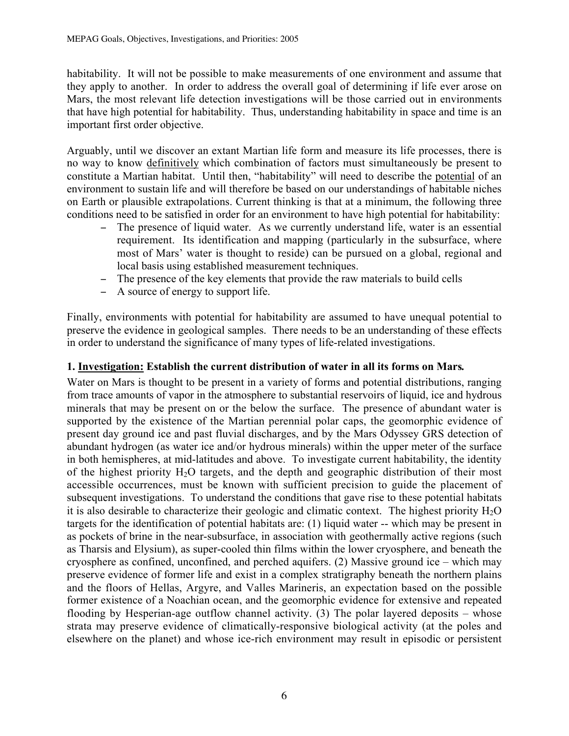habitability. It will not be possible to make measurements of one environment and assume that they apply to another. In order to address the overall goal of determining if life ever arose on Mars, the most relevant life detection investigations will be those carried out in environments that have high potential for habitability. Thus, understanding habitability in space and time is an important first order objective.

Arguably, until we discover an extant Martian life form and measure its life processes, there is no way to know definitively which combination of factors must simultaneously be present to constitute a Martian habitat. Until then, "habitability" will need to describe the potential of an environment to sustain life and will therefore be based on our understandings of habitable niches on Earth or plausible extrapolations. Current thinking is that at a minimum, the following three conditions need to be satisfied in order for an environment to have high potential for habitability:

- − The presence of liquid water. As we currently understand life, water is an essential requirement. Its identification and mapping (particularly in the subsurface, where most of Mars' water is thought to reside) can be pursued on a global, regional and local basis using established measurement techniques.
- − The presence of the key elements that provide the raw materials to build cells
- − A source of energy to support life.

Finally, environments with potential for habitability are assumed to have unequal potential to preserve the evidence in geological samples. There needs to be an understanding of these effects in order to understand the significance of many types of life-related investigations.

#### 1. Investigation: Establish the current distribution of water in all its forms on Mars*.*

Water on Mars is thought to be present in a variety of forms and potential distributions, ranging from trace amounts of vapor in the atmosphere to substantial reservoirs of liquid, ice and hydrous minerals that may be present on or the below the surface. The presence of abundant water is supported by the existence of the Martian perennial polar caps, the geomorphic evidence of present day ground ice and past fluvial discharges, and by the Mars Odyssey GRS detection of abundant hydrogen (as water ice and/or hydrous minerals) within the upper meter of the surface in both hemispheres, at mid-latitudes and above. To investigate current habitability, the identity of the highest priority  $H_2O$  targets, and the depth and geographic distribution of their most accessible occurrences, must be known with sufficient precision to guide the placement of subsequent investigations. To understand the conditions that gave rise to these potential habitats it is also desirable to characterize their geologic and climatic context. The highest priority  $H_2O$ targets for the identification of potential habitats are: (1) liquid water -- which may be present in as pockets of brine in the near-subsurface, in association with geothermally active regions (such as Tharsis and Elysium), as super-cooled thin films within the lower cryosphere, and beneath the cryosphere as confined, unconfined, and perched aquifers. (2) Massive ground ice – which may preserve evidence of former life and exist in a complex stratigraphy beneath the northern plains and the floors of Hellas, Argyre, and Valles Marineris, an expectation based on the possible former existence of a Noachian ocean, and the geomorphic evidence for extensive and repeated flooding by Hesperian-age outflow channel activity. (3) The polar layered deposits – whose strata may preserve evidence of climatically-responsive biological activity (at the poles and elsewhere on the planet) and whose ice-rich environment may result in episodic or persistent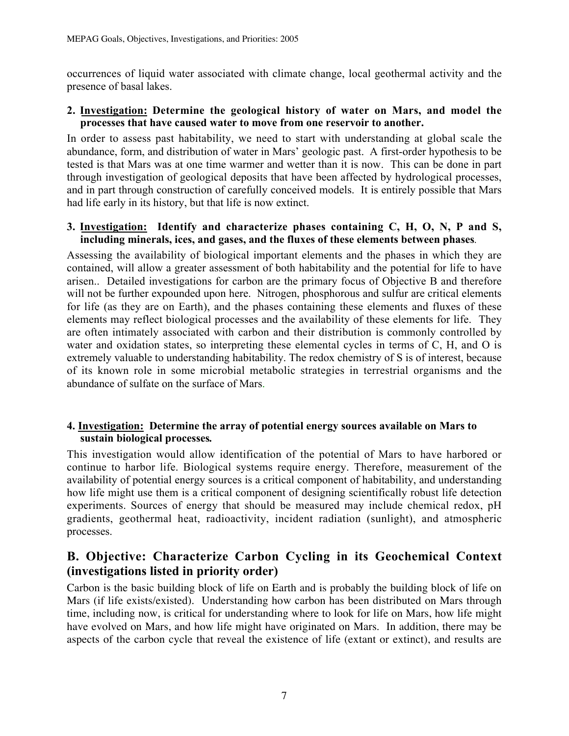occurrences of liquid water associated with climate change, local geothermal activity and the presence of basal lakes.

#### 2. Investigation: Determine the geological history of water on Mars, and model the processes that have caused water to move from one reservoir to another.

In order to assess past habitability, we need to start with understanding at global scale the abundance, form, and distribution of water in Mars' geologic past. A first-order hypothesis to be tested is that Mars was at one time warmer and wetter than it is now. This can be done in part through investigation of geological deposits that have been affected by hydrological processes, and in part through construction of carefully conceived models. It is entirely possible that Mars had life early in its history, but that life is now extinct.

#### 3. Investigation: Identify and characterize phases containing C, H, O, N, P and S, including minerals, ices, and gases, and the fluxes of these elements between phases*.*

Assessing the availability of biological important elements and the phases in which they are contained, will allow a greater assessment of both habitability and the potential for life to have arisen.. Detailed investigations for carbon are the primary focus of Objective B and therefore will not be further expounded upon here. Nitrogen, phosphorous and sulfur are critical elements for life (as they are on Earth), and the phases containing these elements and fluxes of these elements may reflect biological processes and the availability of these elements for life. They are often intimately associated with carbon and their distribution is commonly controlled by water and oxidation states, so interpreting these elemental cycles in terms of C, H, and O is extremely valuable to understanding habitability. The redox chemistry of S is of interest, because of its known role in some microbial metabolic strategies in terrestrial organisms and the abundance of sulfate on the surface of Mars.

#### 4. Investigation: Determine the array of potential energy sources available on Mars to sustain biological processes*.*

This investigation would allow identification of the potential of Mars to have harbored or continue to harbor life. Biological systems require energy. Therefore, measurement of the availability of potential energy sources is a critical component of habitability, and understanding how life might use them is a critical component of designing scientifically robust life detection experiments. Sources of energy that should be measured may include chemical redox, pH gradients, geothermal heat, radioactivity, incident radiation (sunlight), and atmospheric processes.

# B. Objective: Characterize Carbon Cycling in its Geochemical Context (investigations listed in priority order)

Carbon is the basic building block of life on Earth and is probably the building block of life on Mars (if life exists/existed). Understanding how carbon has been distributed on Mars through time, including now, is critical for understanding where to look for life on Mars, how life might have evolved on Mars, and how life might have originated on Mars. In addition, there may be aspects of the carbon cycle that reveal the existence of life (extant or extinct), and results are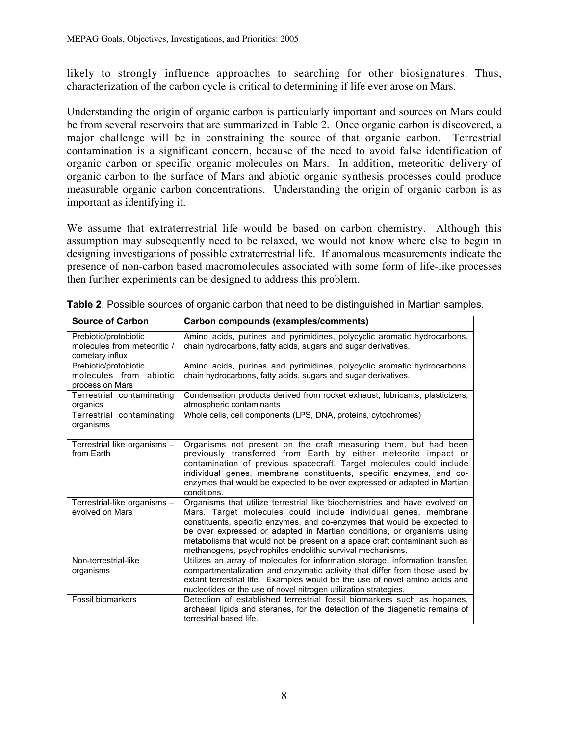likely to strongly influence approaches to searching for other biosignatures. Thus, characterization of the carbon cycle is critical to determining if life ever arose on Mars.

Understanding the origin of organic carbon is particularly important and sources on Mars could be from several reservoirs that are summarized in Table 2. Once organic carbon is discovered, a major challenge will be in constraining the source of that organic carbon. Terrestrial contamination is a significant concern, because of the need to avoid false identification of organic carbon or specific organic molecules on Mars. In addition, meteoritic delivery of organic carbon to the surface of Mars and abiotic organic synthesis processes could produce measurable organic carbon concentrations. Understanding the origin of organic carbon is as important as identifying it.

We assume that extraterrestrial life would be based on carbon chemistry. Although this assumption may subsequently need to be relaxed, we would not know where else to begin in designing investigations of possible extraterrestrial life. If anomalous measurements indicate the presence of non-carbon based macromolecules associated with some form of life-like processes then further experiments can be designed to address this problem.

| Source of Carbon                                                        | Carbon compounds (examples/comments)                                                                                                                                                                                                                                                                                                                                                                                                            |
|-------------------------------------------------------------------------|-------------------------------------------------------------------------------------------------------------------------------------------------------------------------------------------------------------------------------------------------------------------------------------------------------------------------------------------------------------------------------------------------------------------------------------------------|
| Prebiotic/protobiotic<br>molecules from meteoritic /<br>cometary influx | Amino acids, purines and pyrimidines, polycyclic aromatic hydrocarbons,<br>chain hydrocarbons, fatty acids, sugars and sugar derivatives.                                                                                                                                                                                                                                                                                                       |
| Prebiotic/protobiotic<br>molecules from abiotic<br>process on Mars      | Amino acids, purines and pyrimidines, polycyclic aromatic hydrocarbons,<br>chain hydrocarbons, fatty acids, sugars and sugar derivatives.                                                                                                                                                                                                                                                                                                       |
| Terrestrial contaminating<br>organics                                   | Condensation products derived from rocket exhaust, lubricants, plasticizers,<br>atmospheric contaminants                                                                                                                                                                                                                                                                                                                                        |
| Terrestrial contaminating<br>organisms                                  | Whole cells, cell components (LPS, DNA, proteins, cytochromes)                                                                                                                                                                                                                                                                                                                                                                                  |
| Terrestrial like organisms -<br>from Earth                              | Organisms not present on the craft measuring them, but had been<br>previously transferred from Earth by either meteorite impact or<br>contamination of previous spacecraft. Target molecules could include<br>individual genes, membrane constituents, specific enzymes, and co-<br>enzymes that would be expected to be over expressed or adapted in Martian<br>conditions.                                                                    |
| Terrestrial-like organisms -<br>evolved on Mars                         | Organisms that utilize terrestrial like biochemistries and have evolved on<br>Mars. Target molecules could include individual genes, membrane<br>constituents, specific enzymes, and co-enzymes that would be expected to<br>be over expressed or adapted in Martian conditions, or organisms using<br>metabolisms that would not be present on a space craft contaminant such as<br>methanogens, psychrophiles endolithic survival mechanisms. |
| Non-terrestrial-like<br>organisms                                       | Utilizes an array of molecules for information storage, information transfer,<br>compartmentalization and enzymatic activity that differ from those used by<br>extant terrestrial life. Examples would be the use of novel amino acids and<br>nucleotides or the use of novel nitrogen utilization strategies.                                                                                                                                  |
| <b>Fossil biomarkers</b>                                                | Detection of established terrestrial fossil biomarkers such as hopanes,<br>archaeal lipids and steranes, for the detection of the diagenetic remains of<br>terrestrial based life.                                                                                                                                                                                                                                                              |

**Table 2**. Possible sources of organic carbon that need to be distinguished in Martian samples.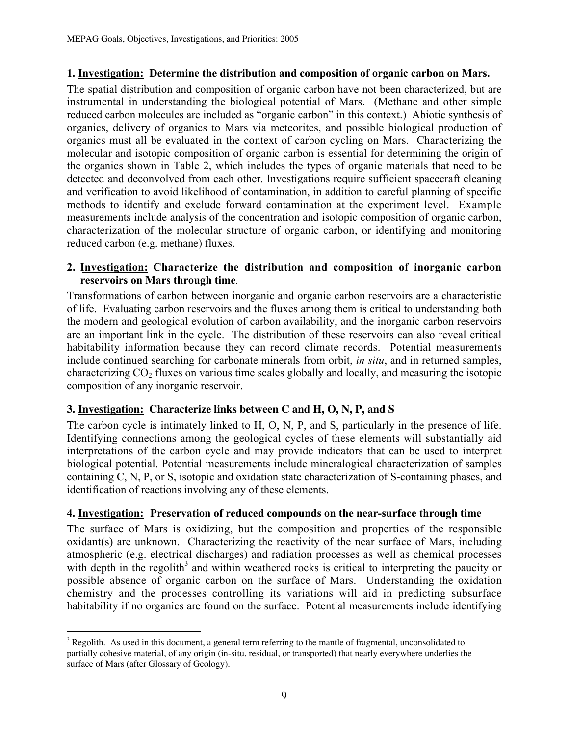#### 1. Investigation: Determine the distribution and composition of organic carbon on Mars.

The spatial distribution and composition of organic carbon have not been characterized, but are instrumental in understanding the biological potential of Mars. (Methane and other simple reduced carbon molecules are included as "organic carbon" in this context.) Abiotic synthesis of organics, delivery of organics to Mars via meteorites, and possible biological production of organics must all be evaluated in the context of carbon cycling on Mars. Characterizing the molecular and isotopic composition of organic carbon is essential for determining the origin of the organics shown in Table 2, which includes the types of organic materials that need to be detected and deconvolved from each other. Investigations require sufficient spacecraft cleaning and verification to avoid likelihood of contamination, in addition to careful planning of specific methods to identify and exclude forward contamination at the experiment level. Example measurements include analysis of the concentration and isotopic composition of organic carbon, characterization of the molecular structure of organic carbon, or identifying and monitoring reduced carbon (e.g. methane) fluxes.

#### 2. Investigation: Characterize the distribution and composition of inorganic carbon reservoirs on Mars through time*.*

Transformations of carbon between inorganic and organic carbon reservoirs are a characteristic of life. Evaluating carbon reservoirs and the fluxes among them is critical to understanding both the modern and geological evolution of carbon availability, and the inorganic carbon reservoirs are an important link in the cycle. The distribution of these reservoirs can also reveal critical habitability information because they can record climate records. Potential measurements include continued searching for carbonate minerals from orbit, *in situ*, and in returned samples, characterizing  $CO<sub>2</sub>$  fluxes on various time scales globally and locally, and measuring the isotopic composition of any inorganic reservoir.

#### **3. Investigation: Characterize links between C and H, O, N, P, and S**

The carbon cycle is intimately linked to H, O, N, P, and S, particularly in the presence of life. Identifying connections among the geological cycles of these elements will substantially aid interpretations of the carbon cycle and may provide indicators that can be used to interpret biological potential. Potential measurements include mineralogical characterization of samples containing C, N, P, or S, isotopic and oxidation state characterization of S-containing phases, and identification of reactions involving any of these elements.

#### 4. Investigation: Preservation of reduced compounds on the near-surface through time

The surface of Mars is oxidizing, but the composition and properties of the responsible oxidant(s) are unknown. Characterizing the reactivity of the near surface of Mars, including atmospheric (e.g. electrical discharges) and radiation processes as well as chemical processes with depth in the regolith<sup>3</sup> and within weathered rocks is critical to interpreting the paucity or possible absence of organic carbon on the surface of Mars. Understanding the oxidation chemistry and the processes controlling its variations will aid in predicting subsurface habitability if no organics are found on the surface. Potential measurements include identifying

<sup>&</sup>lt;sup>2</sup><br>3  $3$  Regolith. As used in this document, a general term referring to the mantle of fragmental, unconsolidated to partially cohesive material, of any origin (in-situ, residual, or transported) that nearly everywhere underlies the surface of Mars (after Glossary of Geology).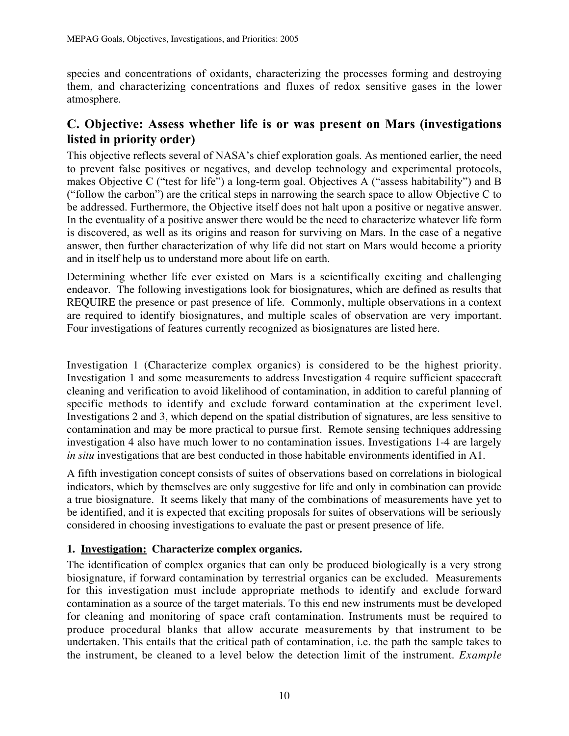species and concentrations of oxidants, characterizing the processes forming and destroying them, and characterizing concentrations and fluxes of redox sensitive gases in the lower atmosphere.

## C. Objective: Assess whether life is or was present on Mars (investigations listed in priority order)

This objective reflects several of NASA's chief exploration goals. As mentioned earlier, the need to prevent false positives or negatives, and develop technology and experimental protocols, makes Objective C ("test for life") a long-term goal. Objectives A ("assess habitability") and B ("follow the carbon") are the critical steps in narrowing the search space to allow Objective C to be addressed. Furthermore, the Objective itself does not halt upon a positive or negative answer. In the eventuality of a positive answer there would be the need to characterize whatever life form is discovered, as well as its origins and reason for surviving on Mars. In the case of a negative answer, then further characterization of why life did not start on Mars would become a priority and in itself help us to understand more about life on earth.

Determining whether life ever existed on Mars is a scientifically exciting and challenging endeavor. The following investigations look for biosignatures, which are defined as results that REQUIRE the presence or past presence of life. Commonly, multiple observations in a context are required to identify biosignatures, and multiple scales of observation are very important. Four investigations of features currently recognized as biosignatures are listed here.

Investigation 1 (Characterize complex organics) is considered to be the highest priority. Investigation 1 and some measurements to address Investigation 4 require sufficient spacecraft cleaning and verification to avoid likelihood of contamination, in addition to careful planning of specific methods to identify and exclude forward contamination at the experiment level. Investigations 2 and 3, which depend on the spatial distribution of signatures, are less sensitive to contamination and may be more practical to pursue first. Remote sensing techniques addressing investigation 4 also have much lower to no contamination issues. Investigations 1-4 are largely *in situ* investigations that are best conducted in those habitable environments identified in A1.

A fifth investigation concept consists of suites of observations based on correlations in biological indicators, which by themselves are only suggestive for life and only in combination can provide a true biosignature. It seems likely that many of the combinations of measurements have yet to be identified, and it is expected that exciting proposals for suites of observations will be seriously considered in choosing investigations to evaluate the past or present presence of life.

#### **1. Investigation: Characterize complex organics.**

The identification of complex organics that can only be produced biologically is a very strong biosignature, if forward contamination by terrestrial organics can be excluded. Measurements for this investigation must include appropriate methods to identify and exclude forward contamination as a source of the target materials. To this end new instruments must be developed for cleaning and monitoring of space craft contamination. Instruments must be required to produce procedural blanks that allow accurate measurements by that instrument to be undertaken. This entails that the critical path of contamination, i.e. the path the sample takes to the instrument, be cleaned to a level below the detection limit of the instrument. *Example*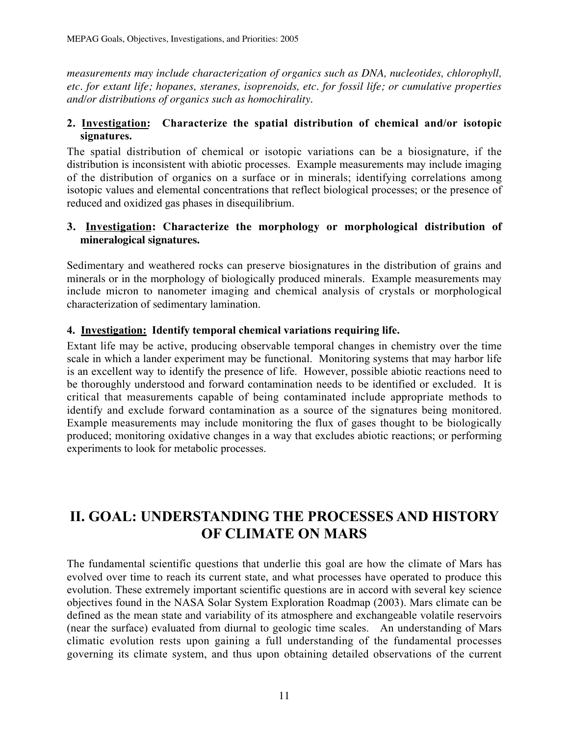*measurements may include characterization of organics such as DNA, nucleotides, chlorophyll, etc. for extant life; hopanes, steranes, isoprenoids, etc. for fossil life; or cumulative properties and/or distributions of organics such as homochirality.*

#### 2. Investigation: Characterize the spatial distribution of chemical and/or isotopic signatures.

The spatial distribution of chemical or isotopic variations can be a biosignature, if the distribution is inconsistent with abiotic processes. Example measurements may include imaging of the distribution of organics on a surface or in minerals; identifying correlations among isotopic values and elemental concentrations that reflect biological processes; or the presence of reduced and oxidized gas phases in disequilibrium.

#### **3. Investigation: Characterize the morphology or morphological distribution of mineralogical signatures.**

Sedimentary and weathered rocks can preserve biosignatures in the distribution of grains and minerals or in the morphology of biologically produced minerals. Example measurements may include micron to nanometer imaging and chemical analysis of crystals or morphological characterization of sedimentary lamination.

#### 4. Investigation: Identify temporal chemical variations requiring life.

Extant life may be active, producing observable temporal changes in chemistry over the time scale in which a lander experiment may be functional. Monitoring systems that may harbor life is an excellent way to identify the presence of life. However, possible abiotic reactions need to be thoroughly understood and forward contamination needs to be identified or excluded. It is critical that measurements capable of being contaminated include appropriate methods to identify and exclude forward contamination as a source of the signatures being monitored. Example measurements may include monitoring the flux of gases thought to be biologically produced; monitoring oxidative changes in a way that excludes abiotic reactions; or performing experiments to look for metabolic processes.

# II. GOAL: UNDERSTANDING THE PROCESSES AND HISTORY OF CLIMATE ON MARS

The fundamental scientific questions that underlie this goal are how the climate of Mars has evolved over time to reach its current state, and what processes have operated to produce this evolution. These extremely important scientific questions are in accord with several key science objectives found in the NASA Solar System Exploration Roadmap (2003). Mars climate can be defined as the mean state and variability of its atmosphere and exchangeable volatile reservoirs (near the surface) evaluated from diurnal to geologic time scales. An understanding of Mars climatic evolution rests upon gaining a full understanding of the fundamental processes governing its climate system, and thus upon obtaining detailed observations of the current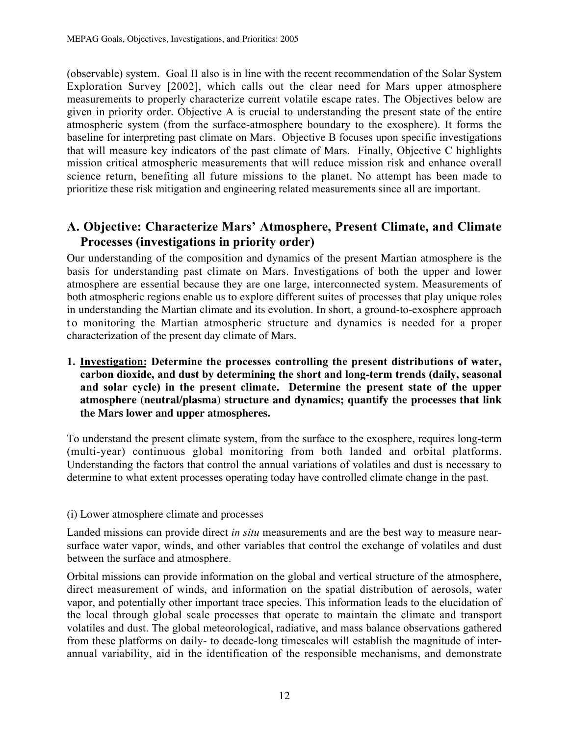(observable) system. Goal II also is in line with the recent recommendation of the Solar System Exploration Survey [2002], which calls out the clear need for Mars upper atmosphere measurements to properly characterize current volatile escape rates. The Objectives below are given in priority order. Objective A is crucial to understanding the present state of the entire atmospheric system (from the surface-atmosphere boundary to the exosphere). It forms the baseline for interpreting past climate on Mars. Objective B focuses upon specific investigations that will measure key indicators of the past climate of Mars. Finally, Objective C highlights mission critical atmospheric measurements that will reduce mission risk and enhance overall science return, benefiting all future missions to the planet. No attempt has been made to prioritize these risk mitigation and engineering related measurements since all are important.

### A. Objective: Characterize Mars' Atmosphere, Present Climate, and Climate Processes (investigations in priority order)

Our understanding of the composition and dynamics of the present Martian atmosphere is the basis for understanding past climate on Mars. Investigations of both the upper and lower atmosphere are essential because they are one large, interconnected system. Measurements of both atmospheric regions enable us to explore different suites of processes that play unique roles in understanding the Martian climate and its evolution. In short, a ground-to-exosphere approach to monitoring the Martian atmospheric structure and dynamics is needed for a proper characterization of the present day climate of Mars.

1. Investigation: Determine the processes controlling the present distributions of water, carbon dioxide, and dust by determining the short and long-term trends (daily, seasonal and solar cycle) in the present climate. **Determine the present state of the upper atmosphere (neutral/plasma) structure and dynamics; quantify the processes that link the Mars lower and upper atmospheres.**

To understand the present climate system, from the surface to the exosphere, requires long-term (multi-year) continuous global monitoring from both landed and orbital platforms. Understanding the factors that control the annual variations of volatiles and dust is necessary to determine to what extent processes operating today have controlled climate change in the past.

#### (i) Lower atmosphere climate and processes

Landed missions can provide direct *in situ* measurements and are the best way to measure nearsurface water vapor, winds, and other variables that control the exchange of volatiles and dust between the surface and atmosphere.

Orbital missions can provide information on the global and vertical structure of the atmosphere, direct measurement of winds, and information on the spatial distribution of aerosols, water vapor, and potentially other important trace species. This information leads to the elucidation of the local through global scale processes that operate to maintain the climate and transport volatiles and dust. The global meteorological, radiative, and mass balance observations gathered from these platforms on daily- to decade-long timescales will establish the magnitude of interannual variability, aid in the identification of the responsible mechanisms, and demonstrate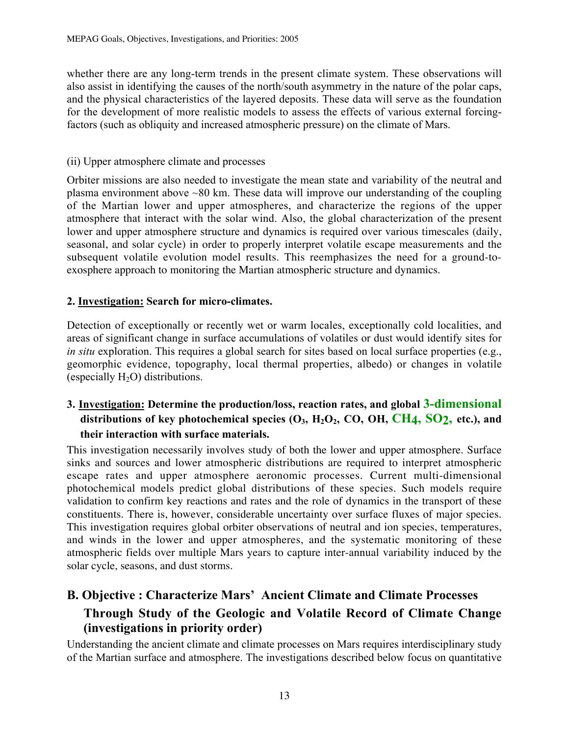whether there are any long-term trends in the present climate system. These observations will also assist in identifying the causes of the north/south asymmetry in the nature of the polar caps, and the physical characteristics of the layered deposits. These data will serve as the foundation for the development of more realistic models to assess the effects of various external forcingfactors (such as obliquity and increased atmospheric pressure) on the climate of Mars.

#### (ii) Upper atmosphere climate and processes

Orbiter missions are also needed to investigate the mean state and variability of the neutral and plasma environment above ~80 km. These data will improve our understanding of the coupling of the Martian lower and upper atmospheres, and characterize the regions of the upper atmosphere that interact with the solar wind. Also, the global characterization of the present lower and upper atmosphere structure and dynamics is required over various timescales (daily, seasonal, and solar cycle) in order to properly interpret volatile escape measurements and the subsequent volatile evolution model results. This reemphasizes the need for a ground-toexosphere approach to monitoring the Martian atmospheric structure and dynamics.

#### 2. Investigation: Search for micro-climates.

Detection of exceptionally or recently wet or warm locales, exceptionally cold localities, and areas of significant change in surface accumulations of volatiles or dust would identify sites for *in situ* exploration. This requires a global search for sites based on local surface properties (e.g., geomorphic evidence, topography, local thermal properties, albedo) or changes in volatile (especially  $H_2O$ ) distributions.

### 3. Investigation: Determine the production/loss, reaction rates, and global 3-dimensional distributions of key photochemical species  $(O_3, H_2O_2, CO, OH, CH4, SO2, etc.),$  and their interaction with surface materials.

This investigation necessarily involves study of both the lower and upper atmosphere. Surface sinks and sources and lower atmospheric distributions are required to interpret atmospheric escape rates and upper atmosphere aeronomic processes. Current multi-dimensional photochemical models predict global distributions of these species. Such models require validation to confirm key reactions and rates and the role of dynamics in the transport of these constituents. There is, however, considerable uncertainty over surface fluxes of major species. This investigation requires global orbiter observations of neutral and ion species, temperatures, and winds in the lower and upper atmospheres, and the systematic monitoring of these atmospheric fields over multiple Mars years to capture inter-annual variability induced by the solar cycle, seasons, and dust storms.

# B. Objective : Characterize Mars' Ancient Climate and Climate Processes Through Study of the Geologic and Volatile Record of Climate Change (investigations in priority order)

Understanding the ancient climate and climate processes on Mars requires interdisciplinary study of the Martian surface and atmosphere. The investigations described below focus on quantitative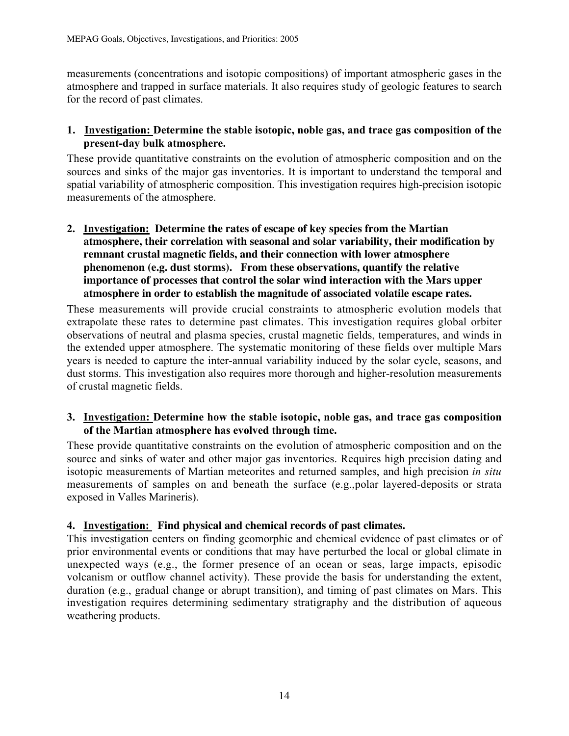measurements (concentrations and isotopic compositions) of important atmospheric gases in the atmosphere and trapped in surface materials. It also requires study of geologic features to search for the record of past climates.

#### 1.Investigation: Determine the stable isotopic, noble gas, and trace gas composition of the present-day bulk atmosphere.

These provide quantitative constraints on the evolution of atmospheric composition and on the sources and sinks of the major gas inventories. It is important to understand the temporal and spatial variability of atmospheric composition. This investigation requires high-precision isotopic measurements of the atmosphere.

2. Investigation**: Determine the rates of escape of key species from the Martian atmosphere, their correlation with seasonal and solar variability, their modification by remnant crustal magnetic fields, and their connection with lower atmosphere phenomenon (e.g. dust storms). From these observations, quantify the relative importance of processes that control the solar wind interaction with the Mars upper atmosphere in order to establish the magnitude of associated volatile escape rates**.

These measurements will provide crucial constraints to atmospheric evolution models that extrapolate these rates to determine past climates. This investigation requires global orbiter observations of neutral and plasma species, crustal magnetic fields, temperatures, and winds in the extended upper atmosphere. The systematic monitoring of these fields over multiple Mars years is needed to capture the inter-annual variability induced by the solar cycle, seasons, and dust storms. This investigation also requires more thorough and higher-resolution measurements of crustal magnetic fields.

#### 3. Investigation: Determine how the stable isotopic, noble gas, and trace gas composition of the Martian atmosphere has evolved through time.

These provide quantitative constraints on the evolution of atmospheric composition and on the source and sinks of water and other major gas inventories. Requires high precision dating and isotopic measurements of Martian meteorites and returned samples, and high precision *in situ* measurements of samples on and beneath the surface (e.g.,polar layered-deposits or strata exposed in Valles Marineris).

#### 4. Investigation: **Find physical and chemical records of past climates.**

This investigation centers on finding geomorphic and chemical evidence of past climates or of prior environmental events or conditions that may have perturbed the local or global climate in unexpected ways (e.g., the former presence of an ocean or seas, large impacts, episodic volcanism or outflow channel activity). These provide the basis for understanding the extent, duration (e.g., gradual change or abrupt transition), and timing of past climates on Mars. This investigation requires determining sedimentary stratigraphy and the distribution of aqueous weathering products.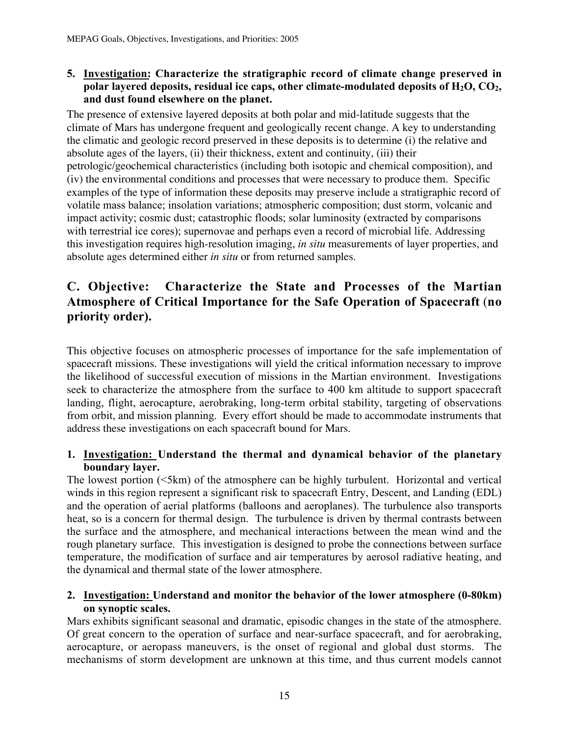#### 5. Investigation: Characterize the stratigraphic record of climate change preserved in polar layered deposits, residual ice caps, other climate-modulated deposits of  $H_2O$ ,  $CO_2$ , and dust found elsewhere on the planet.

The presence of extensive layered deposits at both polar and mid-latitude suggests that the climate of Mars has undergone frequent and geologically recent change. A key to understanding the climatic and geologic record preserved in these deposits is to determine (i) the relative and absolute ages of the layers, (ii) their thickness, extent and continuity, (iii) their petrologic/geochemical characteristics (including both isotopic and chemical composition), and (iv) the environmental conditions and processes that were necessary to produce them. Specific examples of the type of information these deposits may preserve include a stratigraphic record of volatile mass balance; insolation variations; atmospheric composition; dust storm, volcanic and impact activity; cosmic dust; catastrophic floods; solar luminosity (extracted by comparisons with terrestrial ice cores); supernovae and perhaps even a record of microbial life. Addressing this investigation requires high-resolution imaging, *in situ* measurements of layer properties, and absolute ages determined either *in situ* or from returned samples.

# C. Objective: Characterize the State and Processes of the Martian Atmosphere of Critical Importance for the Safe Operation of Spacecraft (no priority order).

This objective focuses on atmospheric processes of importance for the safe implementation of spacecraft missions. These investigations will yield the critical information necessary to improve the likelihood of successful execution of missions in the Martian environment. Investigations seek to characterize the atmosphere from the surface to 400 km altitude to support spacecraft landing, flight, aerocapture, aerobraking, long-term orbital stability, targeting of observations from orbit, and mission planning. Every effort should be made to accommodate instruments that address these investigations on each spacecraft bound for Mars.

#### 1. Investigation: Understand the thermal and dynamical behavior of the planetary boundary layer.

The lowest portion (<5km) of the atmosphere can be highly turbulent. Horizontal and vertical winds in this region represent a significant risk to spacecraft Entry, Descent, and Landing (EDL) and the operation of aerial platforms (balloons and aeroplanes). The turbulence also transports heat, so is a concern for thermal design. The turbulence is driven by thermal contrasts between the surface and the atmosphere, and mechanical interactions between the mean wind and the rough planetary surface. This investigation is designed to probe the connections between surface temperature, the modification of surface and air temperatures by aerosol radiative heating, and the dynamical and thermal state of the lower atmosphere.

#### 2. Investigation: Understand and monitor the behavior of the lower atmosphere (0-80km) on synoptic scales.

Mars exhibits significant seasonal and dramatic, episodic changes in the state of the atmosphere. Of great concern to the operation of surface and near-surface spacecraft, and for aerobraking, aerocapture, or aeropass maneuvers, is the onset of regional and global dust storms. The mechanisms of storm development are unknown at this time, and thus current models cannot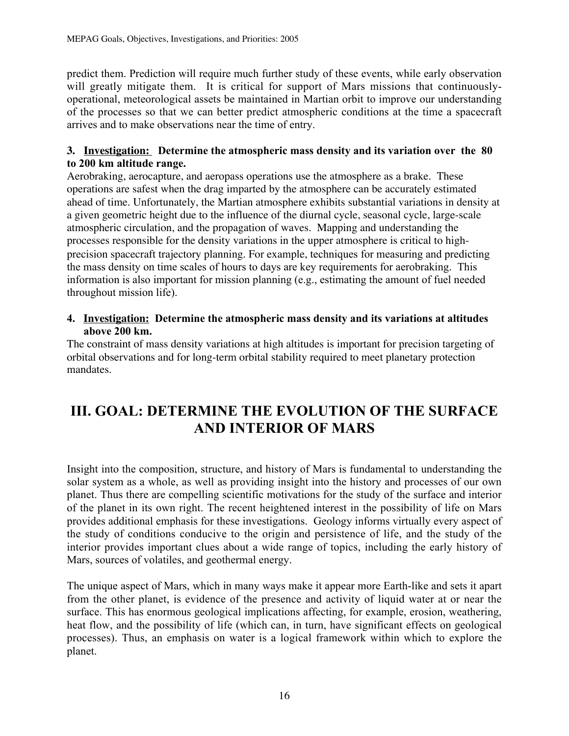predict them. Prediction will require much further study of these events, while early observation will greatly mitigate them. It is critical for support of Mars missions that continuouslyoperational, meteorological assets be maintained in Martian orbit to improve our understanding of the processes so that we can better predict atmospheric conditions at the time a spacecraft arrives and to make observations near the time of entry.

#### **3.****Investigation:**Determine the atmospheric mass density and its variation over the 80 to 200 km altitude range.

Aerobraking, aerocapture, and aeropass operations use the atmosphere as a brake. These operations are safest when the drag imparted by the atmosphere can be accurately estimated ahead of time. Unfortunately, the Martian atmosphere exhibits substantial variations in density at a given geometric height due to the influence of the diurnal cycle, seasonal cycle, large-scale atmospheric circulation, and the propagation of waves. Mapping and understanding the processes responsible for the density variations in the upper atmosphere is critical to highprecision spacecraft trajectory planning. For example, techniques for measuring and predicting the mass density on time scales of hours to days are key requirements for aerobraking. This information is also important for mission planning (e.g., estimating the amount of fuel needed throughout mission life).

#### 4. **Investigation:** Determine the atmospheric mass density and its variations at altitudes above 200 km.

The constraint of mass density variations at high altitudes is important for precision targeting of orbital observations and for long-term orbital stability required to meet planetary protection mandates.

# III. GOAL: DETERMINE THE EVOLUTION OF THE SURFACE AND INTERIOR OF MARS

Insight into the composition, structure, and history of Mars is fundamental to understanding the solar system as a whole, as well as providing insight into the history and processes of our own planet. Thus there are compelling scientific motivations for the study of the surface and interior of the planet in its own right. The recent heightened interest in the possibility of life on Mars provides additional emphasis for these investigations. Geology informs virtually every aspect of the study of conditions conducive to the origin and persistence of life, and the study of the interior provides important clues about a wide range of topics, including the early history of Mars, sources of volatiles, and geothermal energy.

The unique aspect of Mars, which in many ways make it appear more Earth-like and sets it apart from the other planet, is evidence of the presence and activity of liquid water at or near the surface. This has enormous geological implications affecting, for example, erosion, weathering, heat flow, and the possibility of life (which can, in turn, have significant effects on geological processes). Thus, an emphasis on water is a logical framework within which to explore the planet.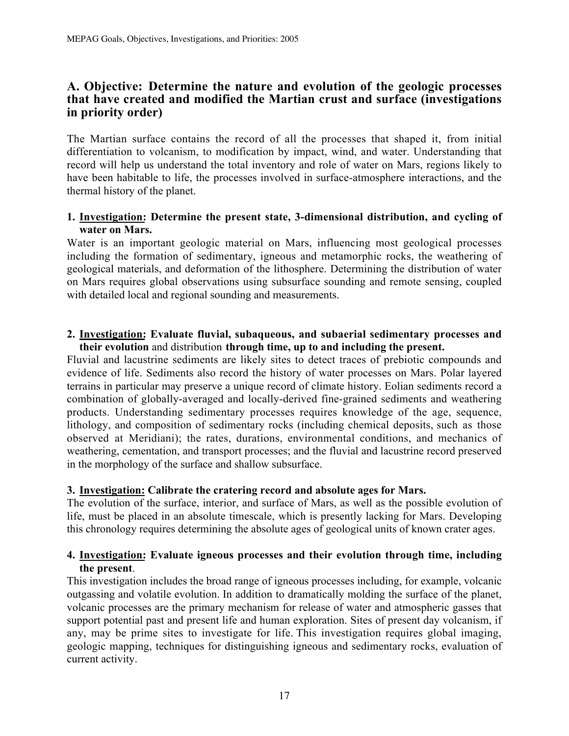#### A. Objective: Determine the nature and evolution of the geologic processes that have created and modified the Martian crust and surface (investigations in priority order)

The Martian surface contains the record of all the processes that shaped it, from initial differentiation to volcanism, to modification by impact, wind, and water. Understanding that record will help us understand the total inventory and role of water on Mars, regions likely to have been habitable to life, the processes involved in surface-atmosphere interactions, and the thermal history of the planet.

#### 1. Investigation: Determine the present state, 3-dimensional distribution, and cycling of water on Mars.

Water is an important geologic material on Mars, influencing most geological processes including the formation of sedimentary, igneous and metamorphic rocks, the weathering of geological materials, and deformation of the lithosphere. Determining the distribution of water on Mars requires global observations using subsurface sounding and remote sensing, coupled with detailed local and regional sounding and measurements.

#### 2. Investigation: Evaluate fluvial, subaqueous, and subaerial sedimentary processes and their evolution and distribution through time, up to and including the present.

Fluvial and lacustrine sediments are likely sites to detect traces of prebiotic compounds and evidence of life. Sediments also record the history of water processes on Mars. Polar layered terrains in particular may preserve a unique record of climate history. Eolian sediments record a combination of globally-averaged and locally-derived fine-grained sediments and weathering products. Understanding sedimentary processes requires knowledge of the age, sequence, lithology, and composition of sedimentary rocks (including chemical deposits, such as those observed at Meridiani); the rates, durations, environmental conditions, and mechanics of weathering, cementation, and transport processes; and the fluvial and lacustrine record preserved in the morphology of the surface and shallow subsurface.

#### 3. Investigation: Calibrate the cratering record and absolute ages for Mars.

The evolution of the surface, interior, and surface of Mars, as well as the possible evolution of life, must be placed in an absolute timescale, which is presently lacking for Mars. Developing this chronology requires determining the absolute ages of geological units of known crater ages.

#### 4. Investigation: Evaluate igneous processes and their evolution through time, including the present.

This investigation includes the broad range of igneous processes including, for example, volcanic outgassing and volatile evolution. In addition to dramatically molding the surface of the planet, volcanic processes are the primary mechanism for release of water and atmospheric gasses that support potential past and present life and human exploration. Sites of present day volcanism, if any, may be prime sites to investigate for life. This investigation requires global imaging, geologic mapping, techniques for distinguishing igneous and sedimentary rocks, evaluation of current activity.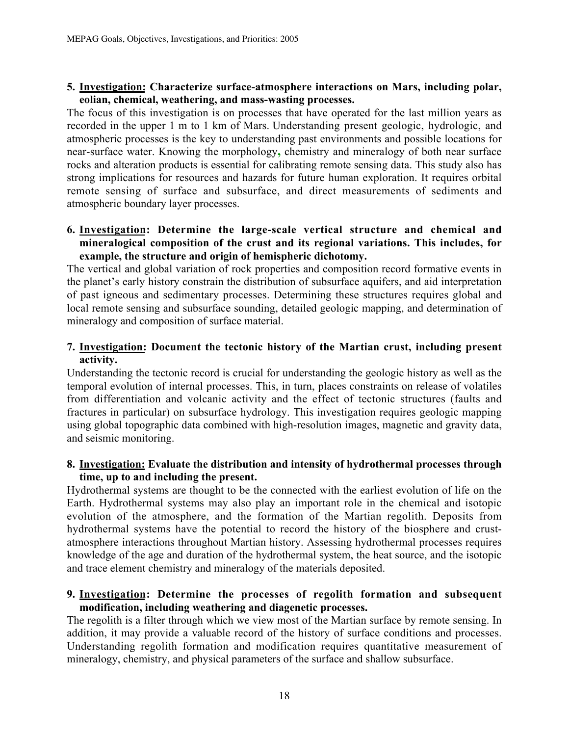#### 5. Investigation: Characterize surface-atmosphere interactions on Mars, including polar, eolian, chemical, weathering, and mass-wasting processes.

The focus of this investigation is on processes that have operated for the last million years as recorded in the upper 1 m to 1 km of Mars. Understanding present geologic, hydrologic, and atmospheric processes is the key to understanding past environments and possible locations for near-surface water. Knowing the morphology, chemistry and mineralogy of both near surface rocks and alteration products is essential for calibrating remote sensing data. This study also has strong implications for resources and hazards for future human exploration. It requires orbital remote sensing of surface and subsurface, and direct measurements of sediments and atmospheric boundary layer processes.

#### 6. Investigation: Determine the large-scale vertical structure and chemical and mineralogical composition of the crust and its regional variations. This includes, for example, the structure and origin of hemispheric dichotomy.

The vertical and global variation of rock properties and composition record formative events in the planet's early history constrain the distribution of subsurface aquifers, and aid interpretation of past igneous and sedimentary processes. Determining these structures requires global and local remote sensing and subsurface sounding, detailed geologic mapping, and determination of mineralogy and composition of surface material.

#### 7. Investigation: Document the tectonic history of the Martian crust, including present activity.

Understanding the tectonic record is crucial for understanding the geologic history as well as the temporal evolution of internal processes. This, in turn, places constraints on release of volatiles from differentiation and volcanic activity and the effect of tectonic structures (faults and fractures in particular) on subsurface hydrology. This investigation requires geologic mapping using global topographic data combined with high-resolution images, magnetic and gravity data, and seismic monitoring.

#### 8. Investigation: Evaluate the distribution and intensity of hydrothermal processes through time, up to and including the present.

Hydrothermal systems are thought to be the connected with the earliest evolution of life on the Earth. Hydrothermal systems may also play an important role in the chemical and isotopic evolution of the atmosphere, and the formation of the Martian regolith. Deposits from hydrothermal systems have the potential to record the history of the biosphere and crustatmosphere interactions throughout Martian history. Assessing hydrothermal processes requires knowledge of the age and duration of the hydrothermal system, the heat source, and the isotopic and trace element chemistry and mineralogy of the materials deposited.

#### 9. Investigation: Determine the processes of regolith formation and subsequent modification, including weathering and diagenetic processes.

The regolith is a filter through which we view most of the Martian surface by remote sensing. In addition, it may provide a valuable record of the history of surface conditions and processes. Understanding regolith formation and modification requires quantitative measurement of mineralogy, chemistry, and physical parameters of the surface and shallow subsurface.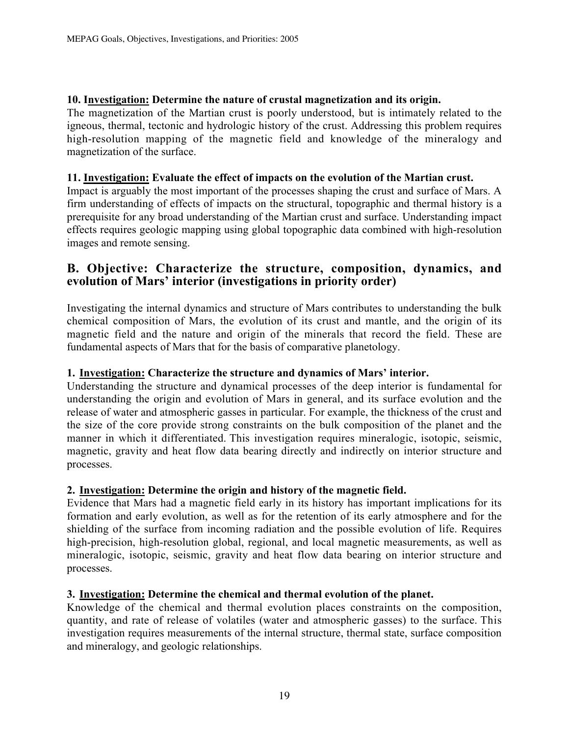#### 10. Investigation: Determine the nature of crustal magnetization and its origin.

The magnetization of the Martian crust is poorly understood, but is intimately related to the igneous, thermal, tectonic and hydrologic history of the crust. Addressing this problem requires high-resolution mapping of the magnetic field and knowledge of the mineralogy and magnetization of the surface.

#### 11. Investigation: Evaluate the effect of impacts on the evolution of the Martian crust.

Impact is arguably the most important of the processes shaping the crust and surface of Mars. A firm understanding of effects of impacts on the structural, topographic and thermal history is a prerequisite for any broad understanding of the Martian crust and surface. Understanding impact effects requires geologic mapping using global topographic data combined with high-resolution images and remote sensing.

#### B. Objective: Characterize the structure, composition, dynamics, and evolution of Mars' interior (investigations in priority order)

Investigating the internal dynamics and structure of Mars contributes to understanding the bulk chemical composition of Mars, the evolution of its crust and mantle, and the origin of its magnetic field and the nature and origin of the minerals that record the field. These are fundamental aspects of Mars that for the basis of comparative planetology.

#### 1. Investigation: Characterize the structure and dynamics of Mars' interior.

Understanding the structure and dynamical processes of the deep interior is fundamental for understanding the origin and evolution of Mars in general, and its surface evolution and the release of water and atmospheric gasses in particular. For example, the thickness of the crust and the size of the core provide strong constraints on the bulk composition of the planet and the manner in which it differentiated. This investigation requires mineralogic, isotopic, seismic, magnetic, gravity and heat flow data bearing directly and indirectly on interior structure and processes.

#### 2. Investigation: Determine the origin and history of the magnetic field.

Evidence that Mars had a magnetic field early in its history has important implications for its formation and early evolution, as well as for the retention of its early atmosphere and for the shielding of the surface from incoming radiation and the possible evolution of life. Requires high-precision, high-resolution global, regional, and local magnetic measurements, as well as mineralogic, isotopic, seismic, gravity and heat flow data bearing on interior structure and processes.

#### 3. Investigation: Determine the chemical and thermal evolution of the planet.

Knowledge of the chemical and thermal evolution places constraints on the composition, quantity, and rate of release of volatiles (water and atmospheric gasses) to the surface. This investigation requires measurements of the internal structure, thermal state, surface composition and mineralogy, and geologic relationships.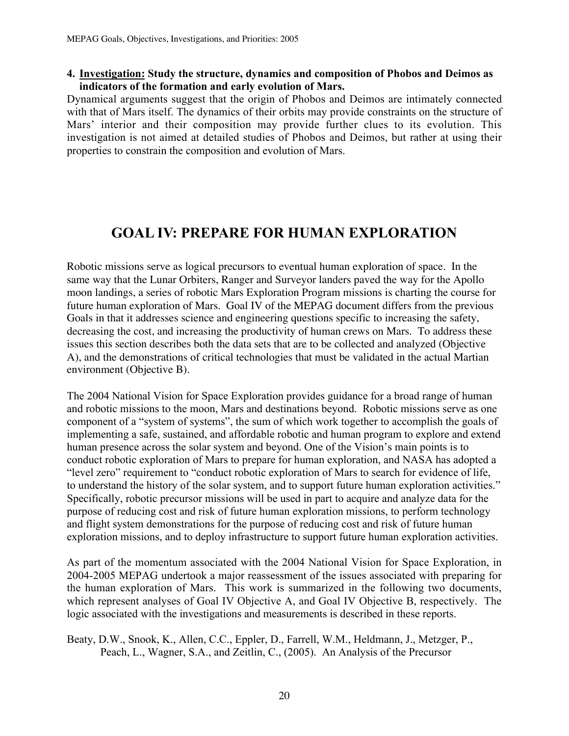#### 4. Investigation: Study the structure, dynamics and composition of Phobos and Deimos as indicators of the formation and early evolution of Mars.

Dynamical arguments suggest that the origin of Phobos and Deimos are intimately connected with that of Mars itself. The dynamics of their orbits may provide constraints on the structure of Mars' interior and their composition may provide further clues to its evolution. This investigation is not aimed at detailed studies of Phobos and Deimos, but rather at using their properties to constrain the composition and evolution of Mars.

# GOAL IV: PREPARE FOR HUMAN EXPLORATION

Robotic missions serve as logical precursors to eventual human exploration of space. In the same way that the Lunar Orbiters, Ranger and Surveyor landers paved the way for the Apollo moon landings, a series of robotic Mars Exploration Program missions is charting the course for future human exploration of Mars. Goal IV of the MEPAG document differs from the previous Goals in that it addresses science and engineering questions specific to increasing the safety, decreasing the cost, and increasing the productivity of human crews on Mars. To address these issues this section describes both the data sets that are to be collected and analyzed (Objective A), and the demonstrations of critical technologies that must be validated in the actual Martian environment (Objective B).

The 2004 National Vision for Space Exploration provides guidance for a broad range of human and robotic missions to the moon, Mars and destinations beyond. Robotic missions serve as one component of a "system of systems", the sum of which work together to accomplish the goals of implementing a safe, sustained, and affordable robotic and human program to explore and extend human presence across the solar system and beyond. One of the Vision's main points is to conduct robotic exploration of Mars to prepare for human exploration, and NASA has adopted a "level zero" requirement to "conduct robotic exploration of Mars to search for evidence of life, to understand the history of the solar system, and to support future human exploration activities." Specifically, robotic precursor missions will be used in part to acquire and analyze data for the purpose of reducing cost and risk of future human exploration missions, to perform technology and flight system demonstrations for the purpose of reducing cost and risk of future human exploration missions, and to deploy infrastructure to support future human exploration activities.

As part of the momentum associated with the 2004 National Vision for Space Exploration, in 2004-2005 MEPAG undertook a major reassessment of the issues associated with preparing for the human exploration of Mars. This work is summarized in the following two documents, which represent analyses of Goal IV Objective A, and Goal IV Objective B, respectively. The logic associated with the investigations and measurements is described in these reports.

Beaty, D.W., Snook, K., Allen, C.C., Eppler, D., Farrell, W.M., Heldmann, J., Metzger, P., Peach, L., Wagner, S.A., and Zeitlin, C., (2005). An Analysis of the Precursor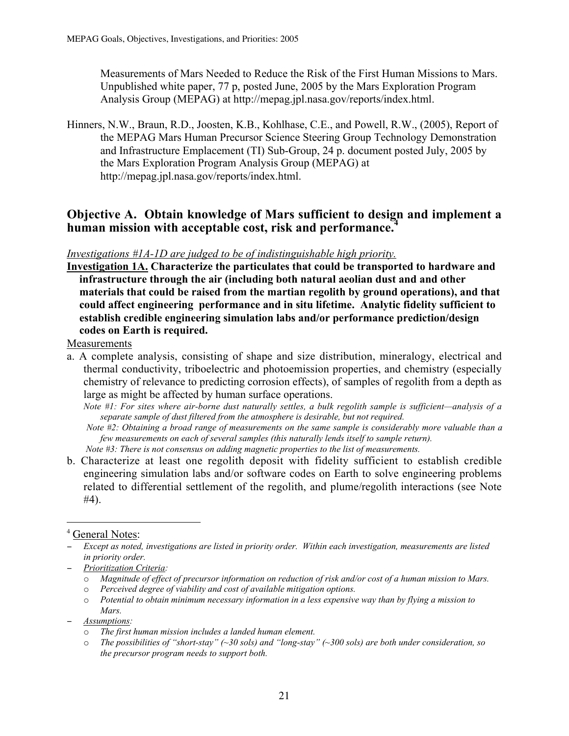Measurements of Mars Needed to Reduce the Risk of the First Human Missions to Mars. Unpublished white paper, 77 p, posted June, 2005 by the Mars Exploration Program Analysis Group (MEPAG) at http://mepag.jpl.nasa.gov/reports/index.html.

Hinners, N.W., Braun, R.D., Joosten, K.B., Kohlhase, C.E., and Powell, R.W., (2005), Report of the MEPAG Mars Human Precursor Science Steering Group Technology Demonstration and Infrastructure Emplacement (TI) Sub-Group, 24 p. document posted July, 2005 by the Mars Exploration Program Analysis Group (MEPAG) at http://mepag.jpl.nasa.gov/reports/index.html.

### Objective A. Obtain knowledge of Mars sufficient to design and implement a human mission with acceptable cost, risk and performance.<sup>4</sup>

#### *Investigations #1A-1D are judged to be of indistinguishable high priority.*

Investigation 1A. Characterize the particulates that could be transported to hardware and infrastructure through the air (including both natural aeolian dust and and other materials that could be raised from the martian regolith by ground operations), and that could affect engineering performance and in situ lifetime. Analytic fidelity sufficient to establish credible engineering simulation labs and/or performance prediction/design codes on Earth is required.

Measurements

a. A complete analysis, consisting of shape and size distribution, mineralogy, electrical and thermal conductivity, triboelectric and photoemission properties, and chemistry (especially chemistry of relevance to predicting corrosion effects), of samples of regolith from a depth as large as might be affected by human surface operations.

*Note #1: For sites where air-borne dust naturally settles, a bulk regolith sample is sufficient—analysis of a separate sample of dust filtered from the atmosphere is desirable, but not required.*

- *Note #2: Obtaining a broad range of measurements on the same sample is considerably more valuable than a few measurements on each of several samples (this naturally lends itself to sample return). Note #3: There is not consensus on adding magnetic properties to the list of measurements.*
- b. Characterize at least one regolith deposit with fidelity sufficient to establish credible engineering simulation labs and/or software codes on Earth to solve engineering problems related to differential settlement of the regolith, and plume/regolith interactions (see Note #4).

#### $\frac{1}{4}$ <sup>4</sup> General Notes:

- − *Prioritization Criteria:*
	- o *Magnitude of effect of precursor information on reduction of risk and/or cost of a human mission to Mars.*
	- o *Perceived degree of viability and cost of available mitigation options.*
	- o *Potential to obtain minimum necessary information in a less expensive way than by flying a mission to Mars.*
- − *Assumptions:*
	- o *The first human mission includes a landed human element.*
	- o *The possibilities of "short-stay" (~30 sols) and "long-stay" (~300 sols) are both under consideration, so the precursor program needs to support both.*

<sup>−</sup> *Except as noted, investigations are listed in priority order. Within each investigation, measurements are listed in priority order.*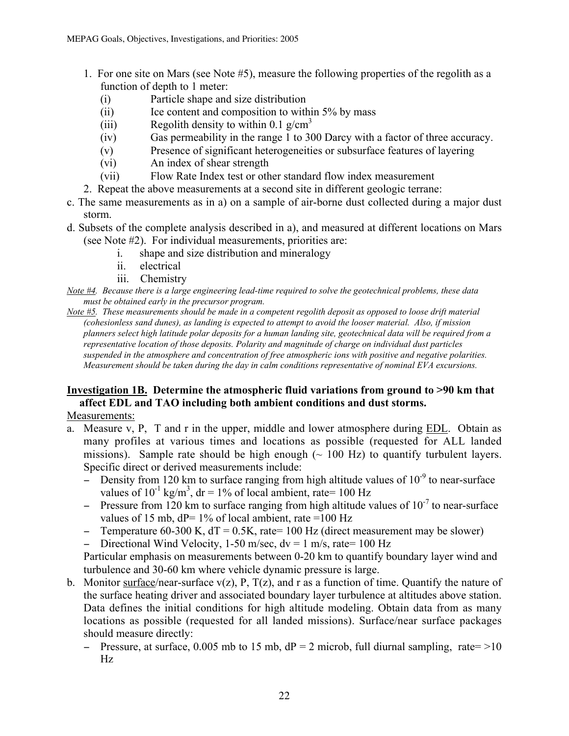- 1. For one site on Mars (see Note #5), measure the following properties of the regolith as a function of depth to 1 meter:
	- (i) Particle shape and size distribution
	- $(ii)$  Ice content and composition to within 5% by mass
	- (iii) Regolith density to within 0.1  $g/cm<sup>3</sup>$
	- (iv) Gas permeability in the range 1 to 300 Darcy with a factor of three accuracy.
	- (v) Presence of significant heterogeneities or subsurface features of layering
	- (vi) An index of shear strength
	- (vii) Flow Rate Index test or other standard flow index measurement
- 2. Repeat the above measurements at a second site in different geologic terrane:
- c. The same measurements as in a) on a sample of air-borne dust collected during a major dust storm.
- d. Subsets of the complete analysis described in a), and measured at different locations on Mars (see Note #2). For individual measurements, priorities are:
	- i. shape and size distribution and mineralogy
	- ii. electrical
	- iii. Chemistry
- *Note #4. Because there is a large engineering lead-time required to solve the geotechnical problems, these data must be obtained early in the precursor program.*
- *Note #5. These measurements should be made in a competent regolith deposit as opposed to loose drift material (cohesionless sand dunes), as landing is expected to attempt to avoid the looser material. Also, if mission planners select high latitude polar deposits for a human landing site, geotechnical data will be required from a representative location of those deposits. Polarity and magnitude of charge on individual dust particles suspended in the atmosphere and concentration of free atmospheric ions with positive and negative polarities. Measurement should be taken during the day in calm conditions representative of nominal EVA excursions.*

#### Investigation 1B. Determine the atmospheric fluid variations from ground to >90 km that affect EDL and TAO including both ambient conditions and dust storms.

Measurements:

- a. Measure v, P, T and r in the upper, middle and lower atmosphere during EDL. Obtain as many profiles at various times and locations as possible (requested for ALL landed missions). Sample rate should be high enough  $(\sim 100 \text{ Hz})$  to quantify turbulent layers. Specific direct or derived measurements include:
	- $-\frac{1}{20}$  Density from 120 km to surface ranging from high altitude values of 10<sup>-9</sup> to near-surface values of  $10^{-1}$  kg/m<sup>3</sup>, dr = 1% of local ambient, rate= 100 Hz
	- − Pressure from 120 km to surface ranging from high altitude values of 10<sup>-7</sup> to near-surface values of 15 mb,  $dP = 1\%$  of local ambient, rate =100 Hz
	- − Temperature 60-300 K, dT = 0.5K, rate= 100 Hz (direct measurement may be slower)
	- − Directional Wind Velocity, 1-50 m/sec, dv = 1 m/s, rate= 100 Hz

Particular emphasis on measurements between 0-20 km to quantify boundary layer wind and turbulence and 30-60 km where vehicle dynamic pressure is large.

- b. Monitor surface/near-surface  $v(z)$ , P,  $T(z)$ , and r as a function of time. Quantify the nature of the surface heating driver and associated boundary layer turbulence at altitudes above station. Data defines the initial conditions for high altitude modeling. Obtain data from as many locations as possible (requested for all landed missions). Surface/near surface packages should measure directly:
	- − Pressure, at surface, 0.005 mb to 15 mb, dP = 2 microb, full diurnal sampling, rate= >10 Hz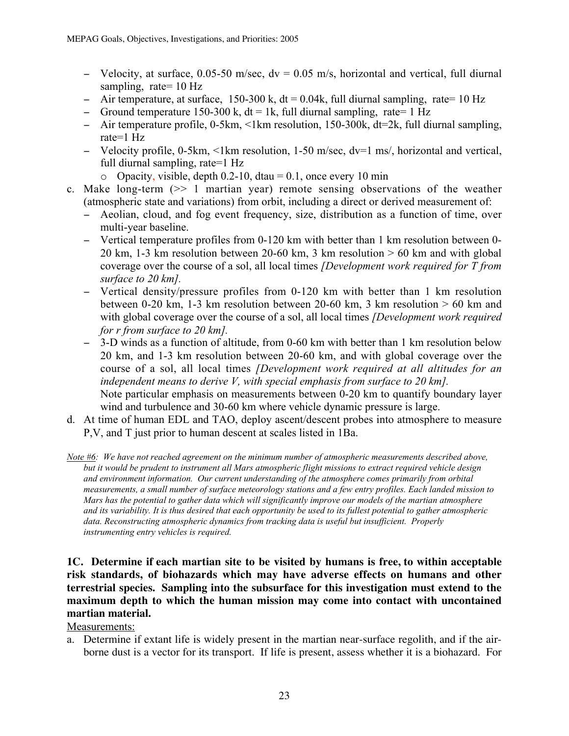- − Velocity, at surface, 0.05-50 m/sec, dv = 0.05 m/s, horizontal and vertical, full diurnal sampling, rate= 10 Hz
- − Air temperature, at surface, 150-300 k, dt = 0.04k, full diurnal sampling, rate= 10 Hz
- − Ground temperature 150-300 k, dt = 1k, full diurnal sampling, rate= 1 Hz
- − Air temperature profile, 0-5km, <1km resolution, 150-300k, dt=2k, full diurnal sampling, rate=1 Hz
- − Velocity profile, 0-5km, <1km resolution, 1-50 m/sec, dv=1 ms/, horizontal and vertical, full diurnal sampling, rate=1 Hz
	- $\degree$  Opacity, visible, depth 0.2-10, dtau = 0.1, once every 10 min
- c. Make long-term (>> 1 martian year) remote sensing observations of the weather (atmospheric state and variations) from orbit, including a direct or derived measurement of:
	- − Aeolian, cloud, and fog event frequency, size, distribution as a function of time, over multi-year baseline.
	- − Vertical temperature profiles from 0-120 km with better than 1 km resolution between 0- 20 km, 1-3 km resolution between 20-60 km, 3 km resolution  $> 60$  km and with global coverage over the course of a sol, all local times *[Development work required for T from surface to 20 km].*
	- − Vertical density/pressure profiles from 0-120 km with better than 1 km resolution between 0-20 km, 1-3 km resolution between 20-60 km, 3 km resolution  $> 60$  km and with global coverage over the course of a sol, all local times *[Development work required for r from surface to 20 km].*
	- − 3-D winds as a function of altitude, from 0-60 km with better than 1 km resolution below 20 km, and 1-3 km resolution between 20-60 km, and with global coverage over the course of a sol, all local times *[Development work required at all altitudes for an independent means to derive V, with special emphasis from surface to 20 km].* Note particular emphasis on measurements between 0-20 km to quantify boundary layer wind and turbulence and 30-60 km where vehicle dynamic pressure is large.
- d. At time of human EDL and TAO, deploy ascent/descent probes into atmosphere to measure P,V, and T just prior to human descent at scales listed in 1Ba.

*Note #6: We have not reached agreement on the minimum number of atmospheric measurements described above, but it would be prudent to instrument all Mars atmospheric flight missions to extract required vehicle design and environment information. Our current understanding of the atmosphere comes primarily from orbital measurements, a small number of surface meteorology stations and a few entry profiles. Each landed mission to Mars has the potential to gather data which will significantly improve our models of the martian atmosphere and its variability. It is thus desired that each opportunity be used to its fullest potential to gather atmospheric data. Reconstructing atmospheric dynamics from tracking data is useful but insufficient. Properly instrumenting entry vehicles is required.*

#### **1C. Determine if each martian site to be visited by humans is free, to within acceptable risk standards, of biohazards which may have adverse effects on humans and other terrestrial species. Sampling into the subsurface for this investigation must extend to the maximum depth to which the human mission may come into contact with uncontained martian material.**

#### Measurements:

a. Determine if extant life is widely present in the martian near-surface regolith, and if the airborne dust is a vector for its transport. If life is present, assess whether it is a biohazard. For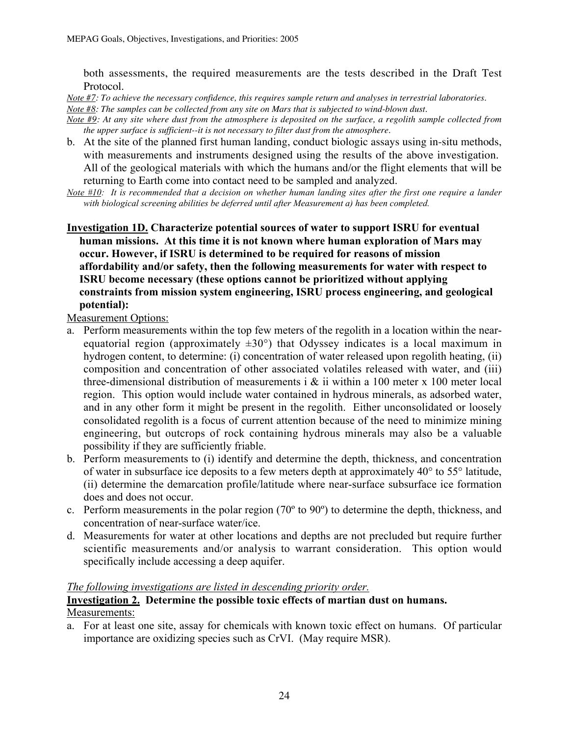both assessments, the required measurements are the tests described in the Draft Test Protocol.

*Note #7: To achieve the necessary confidence, this requires sample return and analyses in terrestrial laboratories. Note #8: The samples can be collected from any site on Mars that is subjected to wind-blown dust.*

*Note #9: At any site where dust from the atmosphere is deposited on the surface, a regolith sample collected from the upper surface is sufficient--it is not necessary to filter dust from the atmosphere.*

- b. At the site of the planned first human landing, conduct biologic assays using in-situ methods, with measurements and instruments designed using the results of the above investigation. All of the geological materials with which the humans and/or the flight elements that will be returning to Earth come into contact need to be sampled and analyzed.
- *Note #10: It is recommended that a decision on whether human landing sites after the first one require a lander with biological screening abilities be deferred until after Measurement a) has been completed.*
- Investigation 1D. Characterize potential sources of water to support ISRU for eventual human missions. At this time it is not known where human exploration of Mars may occur. However, if ISRU is determined to be required for reasons of mission affordability and/or safety, then the following measurements for water with respect to ISRU become necessary (these options cannot be prioritized without applying constraints from mission system engineering, ISRU process engineering, and geological potential):

Measurement Options:

- a. Perform measurements within the top few meters of the regolith in a location within the nearequatorial region (approximately  $\pm 30^{\circ}$ ) that Odyssey indicates is a local maximum in hydrogen content, to determine: (i) concentration of water released upon regolith heating, (ii) composition and concentration of other associated volatiles released with water, and (iii) three-dimensional distribution of measurements i  $\&$  ii within a 100 meter x 100 meter local region. This option would include water contained in hydrous minerals, as adsorbed water, and in any other form it might be present in the regolith. Either unconsolidated or loosely consolidated regolith is a focus of current attention because of the need to minimize mining engineering, but outcrops of rock containing hydrous minerals may also be a valuable possibility if they are sufficiently friable.
- b. Perform measurements to (i) identify and determine the depth, thickness, and concentration of water in subsurface ice deposits to a few meters depth at approximately 40° to 55° latitude, (ii) determine the demarcation profile/latitude where near-surface subsurface ice formation does and does not occur.
- c. Perform measurements in the polar region (70º to 90º) to determine the depth, thickness, and concentration of near-surface water/ice.
- d. Measurements for water at other locations and depths are not precluded but require further scientific measurements and/or analysis to warrant consideration. This option would specifically include accessing a deep aquifer.

#### *The following investigations are listed in descending priority order.*

#### Investigation 2. Determine the possible toxic effects of martian dust on humans. Measurements:

a. For at least one site, assay for chemicals with known toxic effect on humans. Of particular importance are oxidizing species such as CrVI. (May require MSR).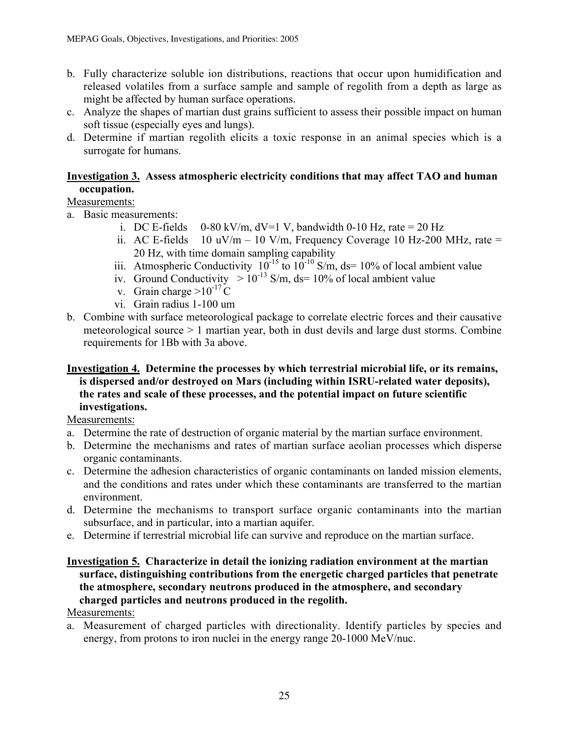- b. Fully characterize soluble ion distributions, reactions that occur upon humidification and released volatiles from a surface sample and sample of regolith from a depth as large as might be affected by human surface operations.
- c. Analyze the shapes of martian dust grains sufficient to assess their possible impact on human soft tissue (especially eyes and lungs).
- d. Determine if martian regolith elicits a toxic response in an animal species which is a surrogate for humans.

#### Investigation 3. Assess atmospheric electricity conditions that may affect TAO and human occupation.

#### Measurements:

- a. Basic measurements:
	- i. DC E-fields  $0-80 \text{ kV/m}$ ,  $dV=1 \text{ V}$ , bandwidth 0-10 Hz, rate = 20 Hz
	- ii. AC E-fields 10 uV/m 10 V/m, Frequency Coverage 10 Hz-200 MHz, rate = 20 Hz, with time domain sampling capability
	- iii. Atmospheric Conductivity  $10^{-15}$  to  $10^{-10}$  S/m, ds= 10% of local ambient value
	- iv. Ground Conductivity  $> 10^{-13}$  S/m, ds= 10% of local ambient value
	- v. Grain charge  $>10^{-17}$  C
	- vi. Grain radius 1-100 um
- b. Combine with surface meteorological package to correlate electric forces and their causative meteorological source > 1 martian year, both in dust devils and large dust storms. Combine requirements for 1Bb with 3a above.

#### Investigation 4. Determine the processes by which terrestrial microbial life, or its remains, is dispersed and/or destroyed on Mars (including within ISRU-related water deposits), the rates and scale of these processes, and the potential impact on future scientific investigations.

Measurements:

- a. Determine the rate of destruction of organic material by the martian surface environment.
- b. Determine the mechanisms and rates of martian surface aeolian processes which disperse organic contaminants.
- c. Determine the adhesion characteristics of organic contaminants on landed mission elements, and the conditions and rates under which these contaminants are transferred to the martian environment.
- d. Determine the mechanisms to transport surface organic contaminants into the martian subsurface, and in particular, into a martian aquifer.
- e. Determine if terrestrial microbial life can survive and reproduce on the martian surface.

#### Investigation 5. Characterize in detail the ionizing radiation environment at the martian surface, distinguishing contributions from the energetic charged particles that penetrate the atmosphere, secondary neutrons produced in the atmosphere, and secondary charged particles and neutrons produced in the regolith.

#### Measurements:

a. Measurement of charged particles with directionality. Identify particles by species and energy, from protons to iron nuclei in the energy range 20-1000 MeV/nuc.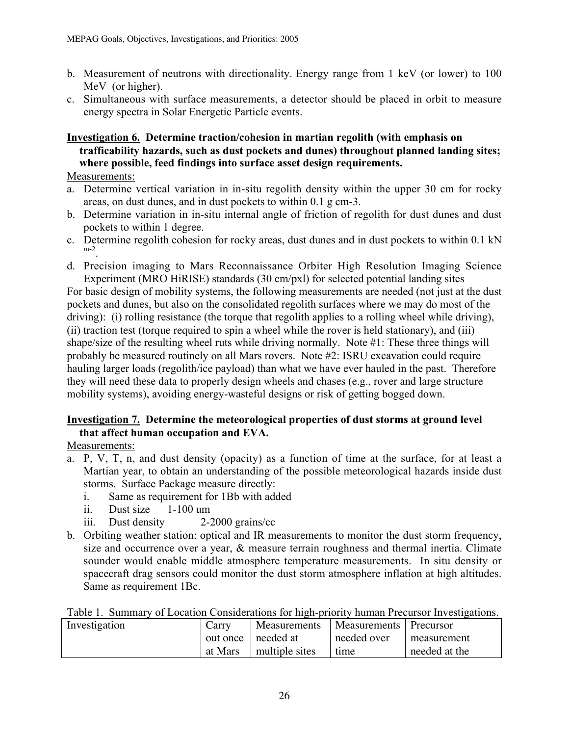- b. Measurement of neutrons with directionality. Energy range from 1 keV (or lower) to 100 MeV (or higher).
- c. Simultaneous with surface measurements, a detector should be placed in orbit to measure energy spectra in Solar Energetic Particle events.

#### Investigation 6. Determine traction/cohesion in martian regolith (with emphasis on trafficability hazards, such as dust pockets and dunes) throughout planned landing sites; where possible, feed findings into surface asset design requirements.

Measurements:

- a. Determine vertical variation in in-situ regolith density within the upper 30 cm for rocky areas, on dust dunes, and in dust pockets to within 0.1 g cm-3.
- b. Determine variation in in-situ internal angle of friction of regolith for dust dunes and dust pockets to within 1 degree.
- c. Determine regolith cohesion for rocky areas, dust dunes and in dust pockets to within 0.1 kN m-2.
- d. Precision imaging to Mars Reconnaissance Orbiter High Resolution Imaging Science Experiment (MRO HiRISE) standards (30 cm/pxl) for selected potential landing sites

For basic design of mobility systems, the following measurements are needed (not just at the dust pockets and dunes, but also on the consolidated regolith surfaces where we may do most of the driving): (i) rolling resistance (the torque that regolith applies to a rolling wheel while driving), (ii) traction test (torque required to spin a wheel while the rover is held stationary), and (iii) shape/size of the resulting wheel ruts while driving normally. Note #1: These three things will probably be measured routinely on all Mars rovers. Note #2: ISRU excavation could require hauling larger loads (regolith/ice payload) than what we have ever hauled in the past. Therefore they will need these data to properly design wheels and chases (e.g., rover and large structure mobility systems), avoiding energy-wasteful designs or risk of getting bogged down.

#### Investigation 7. Determine the meteorological properties of dust storms at ground level that affect human occupation and EVA.

Measurements:

- a. P, V, T, n, and dust density (opacity) as a function of time at the surface, for at least a Martian year, to obtain an understanding of the possible meteorological hazards inside dust storms. Surface Package measure directly:
	- i. Same as requirement for 1Bb with added
	- ii. Dust size 1-100 um
	- iii. Dust density 2-2000 grains/cc
- b. Orbiting weather station: optical and IR measurements to monitor the dust storm frequency, size and occurrence over a year, & measure terrain roughness and thermal inertia. Climate sounder would enable middle atmosphere temperature measurements. In situ density or spacecraft drag sensors could monitor the dust storm atmosphere inflation at high altitudes. Same as requirement 1Bc.

|  |  |  | Table 1. Summary of Location Considerations for high-priority human Precursor Investigations. |  |
|--|--|--|-----------------------------------------------------------------------------------------------|--|
|  |  |  |                                                                                               |  |

| Investigation | Carry   | Measurements         | Measurements   Precursor |               |
|---------------|---------|----------------------|--------------------------|---------------|
|               |         | out once   needed at | needed over              | measurement   |
|               | at Mars | multiple sites       | time                     | needed at the |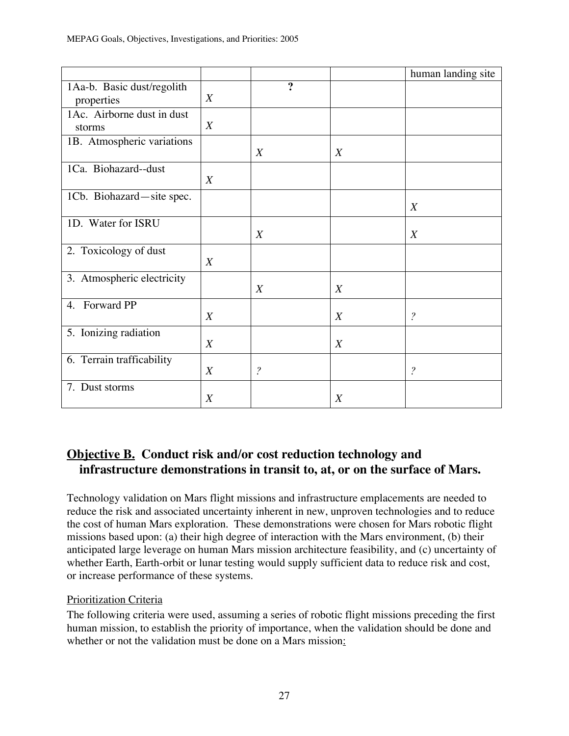|                                          |                  |                          |                  | human landing site       |
|------------------------------------------|------------------|--------------------------|------------------|--------------------------|
| 1Aa-b. Basic dust/regolith<br>properties | X                | $\boldsymbol{v}$         |                  |                          |
| 1Ac. Airborne dust in dust<br>storms     | X                |                          |                  |                          |
| 1B. Atmospheric variations               |                  | X                        | $\boldsymbol{X}$ |                          |
| 1Ca. Biohazard--dust                     | $\boldsymbol{X}$ |                          |                  |                          |
| 1Cb. Biohazard-site spec.                |                  |                          |                  | $\boldsymbol{X}$         |
| 1D. Water for ISRU                       |                  | X                        |                  | X                        |
| 2. Toxicology of dust                    | $\boldsymbol{X}$ |                          |                  |                          |
| 3. Atmospheric electricity               |                  | X                        | $\boldsymbol{X}$ |                          |
| 4. Forward PP                            | $\boldsymbol{X}$ |                          | X                | $\overline{\mathcal{L}}$ |
| 5. Ionizing radiation                    | $\boldsymbol{X}$ |                          | X                |                          |
| 6. Terrain trafficability                | X                | $\overline{\mathcal{E}}$ |                  | $\overline{\cdot}$       |
| 7. Dust storms                           | X                |                          | $\boldsymbol{X}$ |                          |

## **Objective B. Conduct risk and/or cost reduction technology and infrastructure demonstrations in transit to, at, or on the surface of Mars.**

Technology validation on Mars flight missions and infrastructure emplacements are needed to reduce the risk and associated uncertainty inherent in new, unproven technologies and to reduce the cost of human Mars exploration. These demonstrations were chosen for Mars robotic flight missions based upon: (a) their high degree of interaction with the Mars environment, (b) their anticipated large leverage on human Mars mission architecture feasibility, and (c) uncertainty of whether Earth, Earth-orbit or lunar testing would supply sufficient data to reduce risk and cost, or increase performance of these systems.

#### Prioritization Criteria

The following criteria were used, assuming a series of robotic flight missions preceding the first human mission, to establish the priority of importance, when the validation should be done and whether or not the validation must be done on a Mars mission: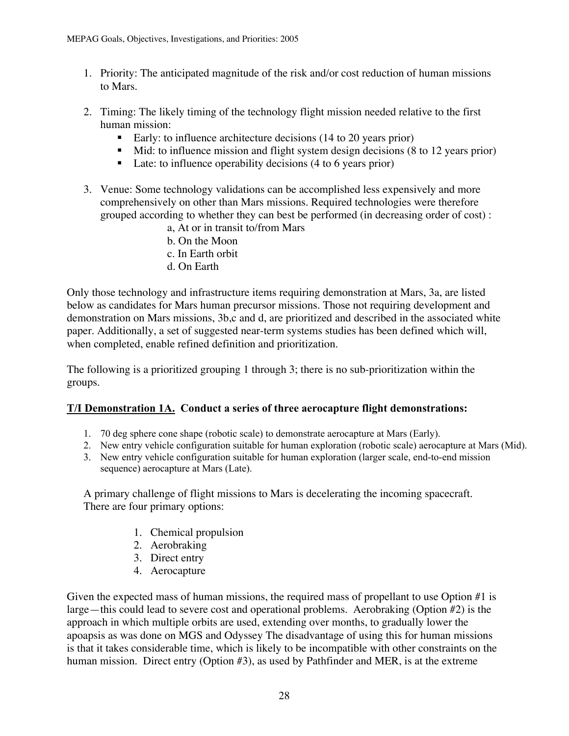- 1. Priority: The anticipated magnitude of the risk and/or cost reduction of human missions to Mars.
- 2. Timing: The likely timing of the technology flight mission needed relative to the first human mission:
	- Early: to influence architecture decisions (14 to 20 years prior)
	- Mid: to influence mission and flight system design decisions (8 to 12 years prior)
	- Late: to influence operability decisions (4 to 6 years prior)
- 3. Venue: Some technology validations can be accomplished less expensively and more comprehensively on other than Mars missions. Required technologies were therefore grouped according to whether they can best be performed (in decreasing order of cost) :
	- a, At or in transit to/from Mars
	- b. On the Moon
	- c. In Earth orbit
	- d. On Earth

Only those technology and infrastructure items requiring demonstration at Mars, 3a, are listed below as candidates for Mars human precursor missions. Those not requiring development and demonstration on Mars missions, 3b,c and d, are prioritized and described in the associated white paper. Additionally, a set of suggested near-term systems studies has been defined which will, when completed, enable refined definition and prioritization.

The following is a prioritized grouping 1 through 3; there is no sub-prioritization within the groups.

#### T/I Demonstration 1A. Conduct a series of three aerocapture flight demonstrations:

- 1. 70 deg sphere cone shape (robotic scale) to demonstrate aerocapture at Mars (Early).
- 2. New entry vehicle configuration suitable for human exploration (robotic scale) aerocapture at Mars (Mid).
- 3. New entry vehicle configuration suitable for human exploration (larger scale, end-to-end mission sequence) aerocapture at Mars (Late).

A primary challenge of flight missions to Mars is decelerating the incoming spacecraft. There are four primary options:

- 1. Chemical propulsion
- 2. Aerobraking
- 3. Direct entry
- 4. Aerocapture

Given the expected mass of human missions, the required mass of propellant to use Option #1 is large—this could lead to severe cost and operational problems. Aerobraking (Option #2) is the approach in which multiple orbits are used, extending over months, to gradually lower the apoapsis as was done on MGS and Odyssey The disadvantage of using this for human missions is that it takes considerable time, which is likely to be incompatible with other constraints on the human mission. Direct entry (Option #3), as used by Pathfinder and MER, is at the extreme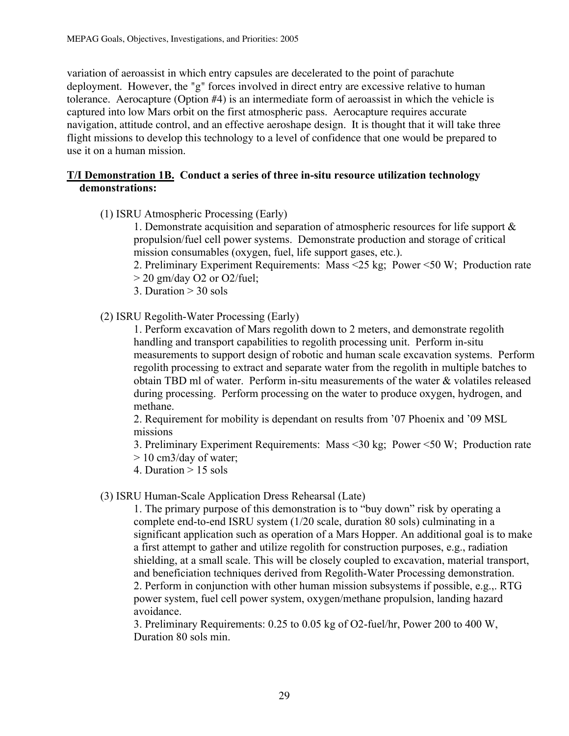variation of aeroassist in which entry capsules are decelerated to the point of parachute deployment. However, the "g" forces involved in direct entry are excessive relative to human tolerance. Aerocapture (Option #4) is an intermediate form of aeroassist in which the vehicle is captured into low Mars orbit on the first atmospheric pass. Aerocapture requires accurate navigation, attitude control, and an effective aeroshape design. It is thought that it will take three flight missions to develop this technology to a level of confidence that one would be prepared to use it on a human mission.

#### T/I Demonstration 1B. Conduct a series of three in-situ resource utilization technology demonstrations:

(1) ISRU Atmospheric Processing (Early)

1. Demonstrate acquisition and separation of atmospheric resources for life support & propulsion/fuel cell power systems. Demonstrate production and storage of critical mission consumables (oxygen, fuel, life support gases, etc.).

- 2. Preliminary Experiment Requirements: Mass <25 kg; Power <50 W; Production rate
- $>$  20 gm/day O2 or O2/fuel;
- 3. Duration  $> 30$  sols
- (2) ISRU Regolith-Water Processing (Early)

1. Perform excavation of Mars regolith down to 2 meters, and demonstrate regolith handling and transport capabilities to regolith processing unit. Perform in-situ measurements to support design of robotic and human scale excavation systems. Perform regolith processing to extract and separate water from the regolith in multiple batches to obtain TBD ml of water. Perform in-situ measurements of the water & volatiles released during processing. Perform processing on the water to produce oxygen, hydrogen, and methane.

2. Requirement for mobility is dependant on results from '07 Phoenix and '09 MSL missions

3. Preliminary Experiment Requirements: Mass <30 kg; Power <50 W; Production rate

- > 10 cm3/day of water;
- 4. Duration > 15 sols

#### (3) ISRU Human-Scale Application Dress Rehearsal (Late)

1. The primary purpose of this demonstration is to "buy down" risk by operating a complete end-to-end ISRU system (1/20 scale, duration 80 sols) culminating in a significant application such as operation of a Mars Hopper. An additional goal is to make a first attempt to gather and utilize regolith for construction purposes, e.g., radiation shielding, at a small scale. This will be closely coupled to excavation, material transport, and beneficiation techniques derived from Regolith-Water Processing demonstration. 2. Perform in conjunction with other human mission subsystems if possible, e.g.,. RTG power system, fuel cell power system, oxygen/methane propulsion, landing hazard avoidance.

3. Preliminary Requirements: 0.25 to 0.05 kg of O2-fuel/hr, Power 200 to 400 W, Duration 80 sols min.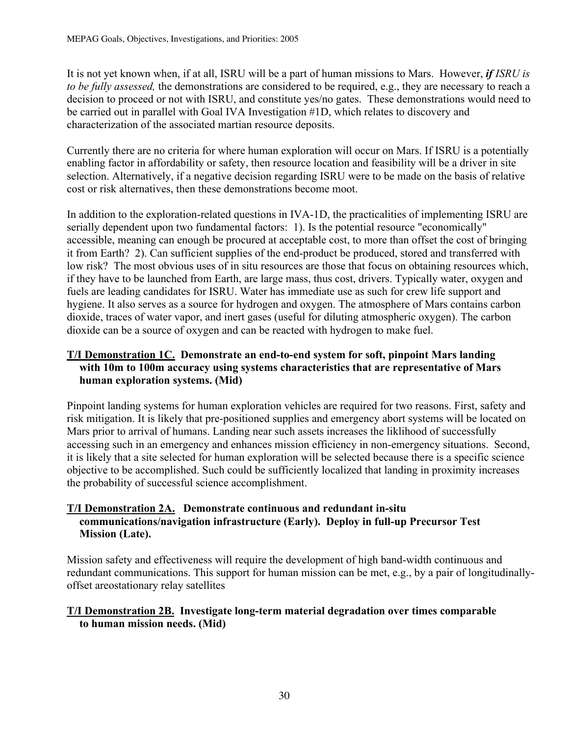It is not yet known when, if at all, ISRU will be a part of human missions to Mars. However, *if ISRU is to be fully assessed,* the demonstrations are considered to be required, e.g., they are necessary to reach a decision to proceed or not with ISRU, and constitute yes/no gates. These demonstrations would need to be carried out in parallel with Goal IVA Investigation #1D, which relates to discovery and characterization of the associated martian resource deposits.

Currently there are no criteria for where human exploration will occur on Mars. If ISRU is a potentially enabling factor in affordability or safety, then resource location and feasibility will be a driver in site selection. Alternatively, if a negative decision regarding ISRU were to be made on the basis of relative cost or risk alternatives, then these demonstrations become moot.

In addition to the exploration-related questions in IVA-1D, the practicalities of implementing ISRU are serially dependent upon two fundamental factors: 1). Is the potential resource "economically" accessible, meaning can enough be procured at acceptable cost, to more than offset the cost of bringing it from Earth? 2). Can sufficient supplies of the end-product be produced, stored and transferred with low risk? The most obvious uses of in situ resources are those that focus on obtaining resources which, if they have to be launched from Earth, are large mass, thus cost, drivers. Typically water, oxygen and fuels are leading candidates for ISRU. Water has immediate use as such for crew life support and hygiene. It also serves as a source for hydrogen and oxygen. The atmosphere of Mars contains carbon dioxide, traces of water vapor, and inert gases (useful for diluting atmospheric oxygen). The carbon dioxide can be a source of oxygen and can be reacted with hydrogen to make fuel.

#### T/I Demonstration 1C. Demonstrate an end-to-end system for soft, pinpoint Mars landing with 10m to 100m accuracy using systems characteristics that are representative of Mars human exploration systems. (Mid)

Pinpoint landing systems for human exploration vehicles are required for two reasons. First, safety and risk mitigation. It is likely that pre-positioned supplies and emergency abort systems will be located on Mars prior to arrival of humans. Landing near such assets increases the liklihood of successfully accessing such in an emergency and enhances mission efficiency in non-emergency situations. Second, it is likely that a site selected for human exploration will be selected because there is a specific science objective to be accomplished. Such could be sufficiently localized that landing in proximity increases the probability of successful science accomplishment.

#### T/I Demonstration 2A. Demonstrate continuous and redundant in-situ communications/navigation infrastructure (Early). Deploy in full-up Precursor Test Mission (Late).

Mission safety and effectiveness will require the development of high band-width continuous and redundant communications. This support for human mission can be met, e.g., by a pair of longitudinallyoffset areostationary relay satellites

#### T/I Demonstration 2B. Investigate long-term material degradation over times comparable to human mission needs. (Mid)